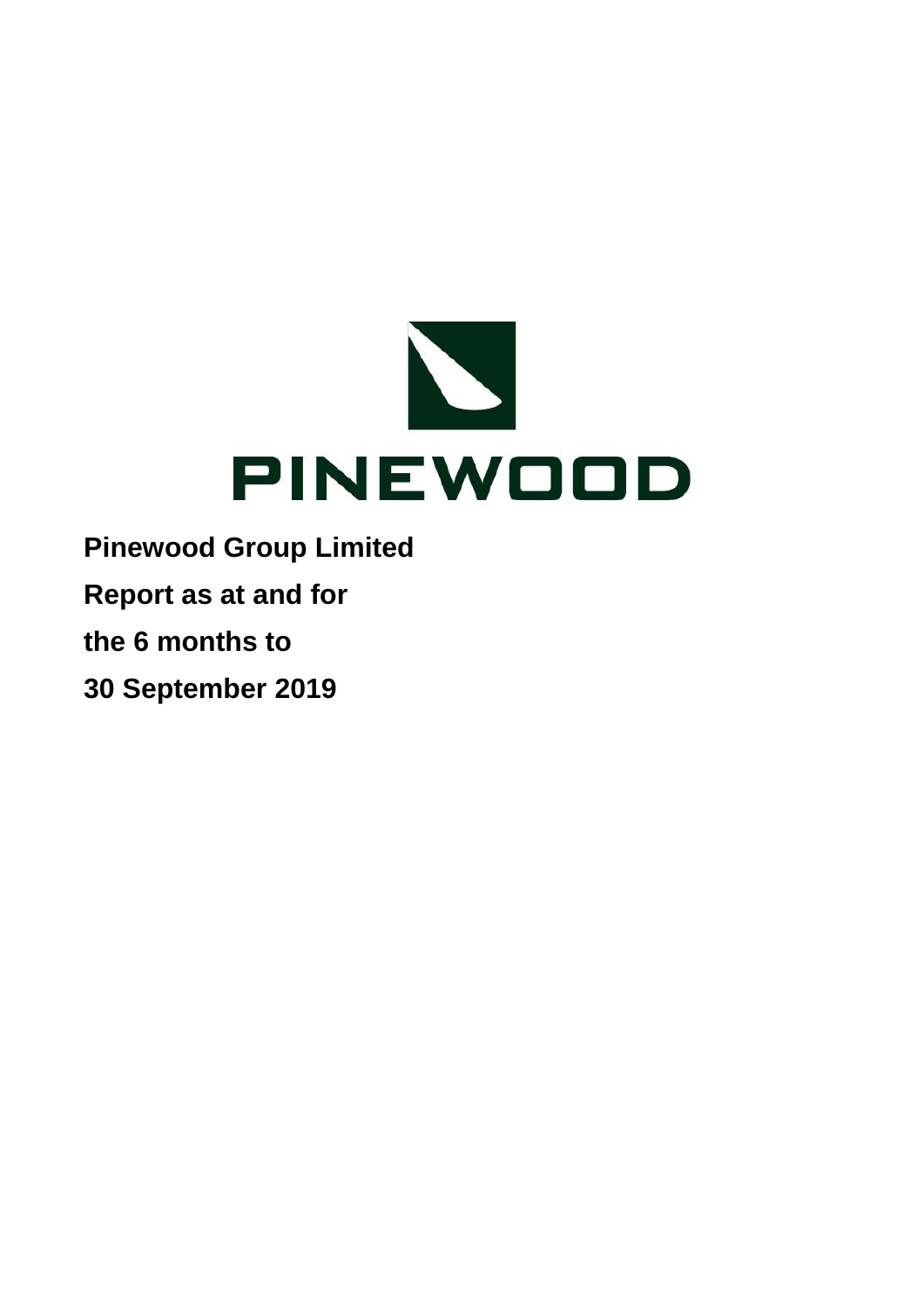

**Report as at and for**

**the 6 months to**

**30 September 2019**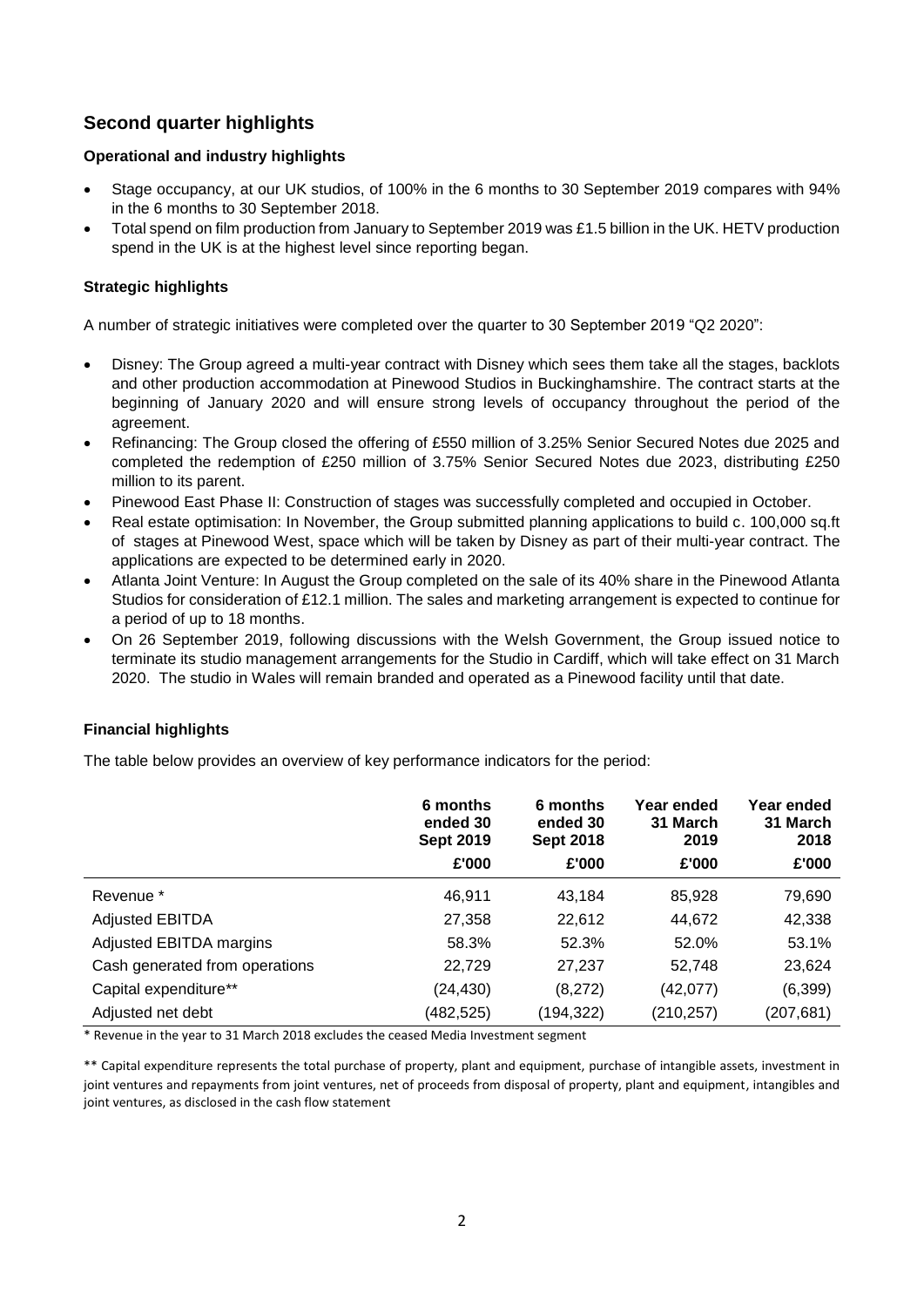# **Second quarter highlights**

# **Operational and industry highlights**

- Stage occupancy, at our UK studios, of 100% in the 6 months to 30 September 2019 compares with 94% in the 6 months to 30 September 2018.
- Total spend on film production from January to September 2019 was £1.5 billion in the UK. HETV production spend in the UK is at the highest level since reporting began.

# **Strategic highlights**

A number of strategic initiatives were completed over the quarter to 30 September 2019 "Q2 2020":

- Disney: The Group agreed a multi-year contract with Disney which sees them take all the stages, backlots and other production accommodation at Pinewood Studios in Buckinghamshire. The contract starts at the beginning of January 2020 and will ensure strong levels of occupancy throughout the period of the agreement.
- Refinancing: The Group closed the offering of £550 million of 3.25% Senior Secured Notes due 2025 and completed the redemption of £250 million of 3.75% Senior Secured Notes due 2023, distributing £250 million to its parent.
- Pinewood East Phase II: Construction of stages was successfully completed and occupied in October.
- Real estate optimisation: In November, the Group submitted planning applications to build c. 100,000 sq.ft of stages at Pinewood West, space which will be taken by Disney as part of their multi-year contract. The applications are expected to be determined early in 2020.
- Atlanta Joint Venture: In August the Group completed on the sale of its 40% share in the Pinewood Atlanta Studios for consideration of £12.1 million. The sales and marketing arrangement is expected to continue for a period of up to 18 months.
- On 26 September 2019, following discussions with the Welsh Government, the Group issued notice to terminate its studio management arrangements for the Studio in Cardiff, which will take effect on 31 March 2020. The studio in Wales will remain branded and operated as a Pinewood facility until that date.

# **Financial highlights**

The table below provides an overview of key performance indicators for the period:

|                                | 6 months<br>ended 30<br><b>Sept 2019</b><br>£'000 | 6 months<br>ended 30<br><b>Sept 2018</b><br>£'000 | Year ended<br>31 March<br>2019<br>£'000 | Year ended<br>31 March<br>2018<br>£'000 |
|--------------------------------|---------------------------------------------------|---------------------------------------------------|-----------------------------------------|-----------------------------------------|
| Revenue <sup>*</sup>           | 46,911                                            | 43,184                                            | 85,928                                  | 79,690                                  |
| <b>Adjusted EBITDA</b>         | 27,358                                            | 22,612                                            | 44,672                                  | 42,338                                  |
| Adjusted EBITDA margins        | 58.3%                                             | 52.3%                                             | 52.0%                                   | 53.1%                                   |
| Cash generated from operations | 22,729                                            | 27,237                                            | 52,748                                  | 23,624                                  |
| Capital expenditure**          | (24,430)                                          | (8,272)                                           | (42,077)                                | (6, 399)                                |
| Adjusted net debt              | (482, 525)                                        | (194,322)                                         | (210, 257)                              | (207, 681)                              |

\* Revenue in the year to 31 March 2018 excludes the ceased Media Investment segment

\*\* Capital expenditure represents the total purchase of property, plant and equipment, purchase of intangible assets, investment in joint ventures and repayments from joint ventures, net of proceeds from disposal of property, plant and equipment, intangibles and joint ventures, as disclosed in the cash flow statement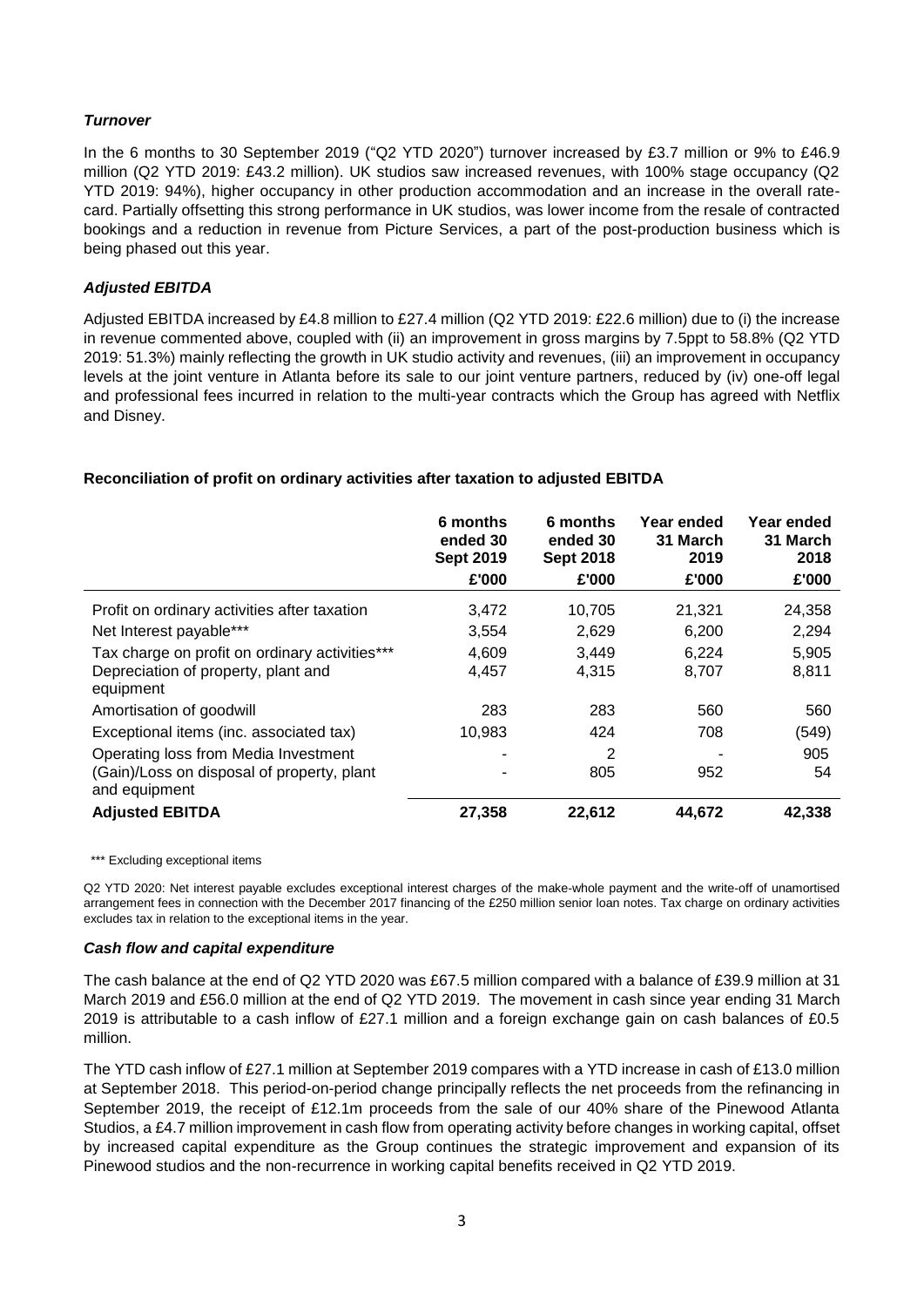# *Turnover*

In the 6 months to 30 September 2019 ("Q2 YTD 2020") turnover increased by £3.7 million or 9% to £46.9 million (Q2 YTD 2019: £43.2 million). UK studios saw increased revenues, with 100% stage occupancy (Q2 YTD 2019: 94%), higher occupancy in other production accommodation and an increase in the overall ratecard. Partially offsetting this strong performance in UK studios, was lower income from the resale of contracted bookings and a reduction in revenue from Picture Services, a part of the post-production business which is being phased out this year.

# *Adjusted EBITDA*

Adjusted EBITDA increased by £4.8 million to £27.4 million (Q2 YTD 2019: £22.6 million) due to (i) the increase in revenue commented above, coupled with (ii) an improvement in gross margins by 7.5ppt to 58.8% (Q2 YTD 2019: 51.3%) mainly reflecting the growth in UK studio activity and revenues, (iii) an improvement in occupancy levels at the joint venture in Atlanta before its sale to our joint venture partners, reduced by (iv) one-off legal and professional fees incurred in relation to the multi-year contracts which the Group has agreed with Netflix and Disney.

# **Reconciliation of profit on ordinary activities after taxation to adjusted EBITDA**

|                                                                                                     | 6 months<br>ended 30<br><b>Sept 2019</b><br>£'000 | 6 months<br>ended 30<br><b>Sept 2018</b><br>£'000 | Year ended<br>31 March<br>2019<br>£'000 | Year ended<br>31 March<br>2018<br>£'000 |
|-----------------------------------------------------------------------------------------------------|---------------------------------------------------|---------------------------------------------------|-----------------------------------------|-----------------------------------------|
| Profit on ordinary activities after taxation                                                        | 3,472                                             | 10,705                                            | 21,321                                  | 24,358                                  |
| Net Interest payable***                                                                             | 3.554                                             | 2,629                                             | 6.200                                   | 2,294                                   |
| Tax charge on profit on ordinary activities***<br>Depreciation of property, plant and<br>equipment  | 4,609<br>4,457                                    | 3,449<br>4,315                                    | 6,224<br>8,707                          | 5,905<br>8,811                          |
| Amortisation of goodwill                                                                            | 283                                               | 283                                               | 560                                     | 560                                     |
| Exceptional items (inc. associated tax)                                                             | 10,983                                            | 424                                               | 708                                     | (549)                                   |
| Operating loss from Media Investment<br>(Gain)/Loss on disposal of property, plant<br>and equipment |                                                   | 2<br>805                                          | 952                                     | 905<br>54                               |
| <b>Adjusted EBITDA</b>                                                                              | 27,358                                            | 22,612                                            | 44,672                                  | 42,338                                  |

\*\*\* Excluding exceptional items

Q2 YTD 2020: Net interest payable excludes exceptional interest charges of the make-whole payment and the write-off of unamortised arrangement fees in connection with the December 2017 financing of the £250 million senior loan notes. Tax charge on ordinary activities excludes tax in relation to the exceptional items in the year.

## *Cash flow and capital expenditure*

The cash balance at the end of Q2 YTD 2020 was £67.5 million compared with a balance of £39.9 million at 31 March 2019 and £56.0 million at the end of Q2 YTD 2019. The movement in cash since year ending 31 March 2019 is attributable to a cash inflow of £27.1 million and a foreign exchange gain on cash balances of £0.5 million.

The YTD cash inflow of £27.1 million at September 2019 compares with a YTD increase in cash of £13.0 million at September 2018. This period-on-period change principally reflects the net proceeds from the refinancing in September 2019, the receipt of £12.1m proceeds from the sale of our 40% share of the Pinewood Atlanta Studios, a £4.7 million improvement in cash flow from operating activity before changes in working capital, offset by increased capital expenditure as the Group continues the strategic improvement and expansion of its Pinewood studios and the non-recurrence in working capital benefits received in Q2 YTD 2019.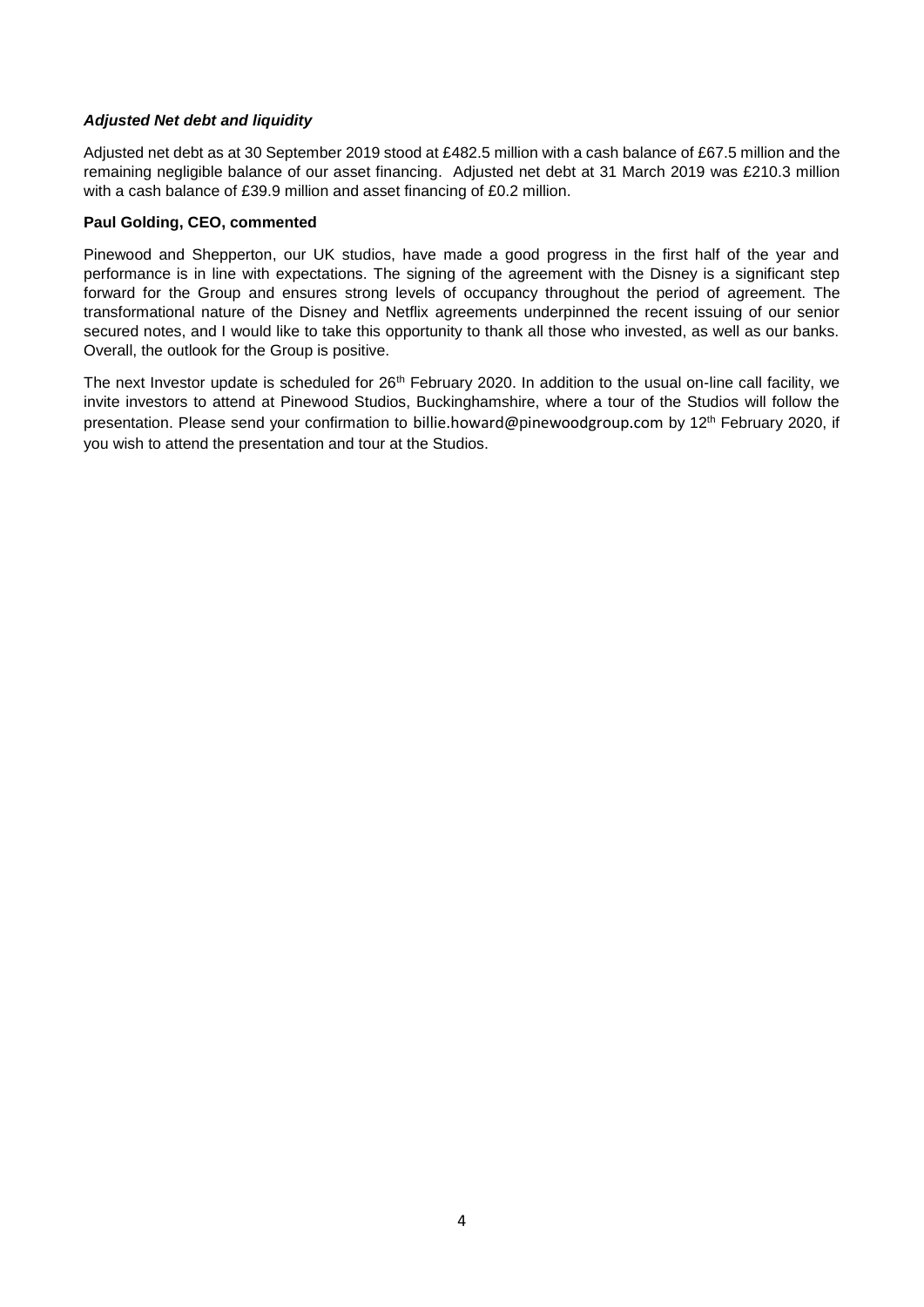# *Adjusted Net debt and liquidity*

Adjusted net debt as at 30 September 2019 stood at £482.5 million with a cash balance of £67.5 million and the remaining negligible balance of our asset financing. Adjusted net debt at 31 March 2019 was £210.3 million with a cash balance of £39.9 million and asset financing of £0.2 million.

# **Paul Golding, CEO, commented**

Pinewood and Shepperton, our UK studios, have made a good progress in the first half of the year and performance is in line with expectations. The signing of the agreement with the Disney is a significant step forward for the Group and ensures strong levels of occupancy throughout the period of agreement. The transformational nature of the Disney and Netflix agreements underpinned the recent issuing of our senior secured notes, and I would like to take this opportunity to thank all those who invested, as well as our banks. Overall, the outlook for the Group is positive.

The next Investor update is scheduled for 26<sup>th</sup> February 2020. In addition to the usual on-line call facility, we invite investors to attend at Pinewood Studios, Buckinghamshire, where a tour of the Studios will follow the presentation. Please send your confirmation to billie.howard@pinewoodgroup.com by 12<sup>th</sup> February 2020, if you wish to attend the presentation and tour at the Studios.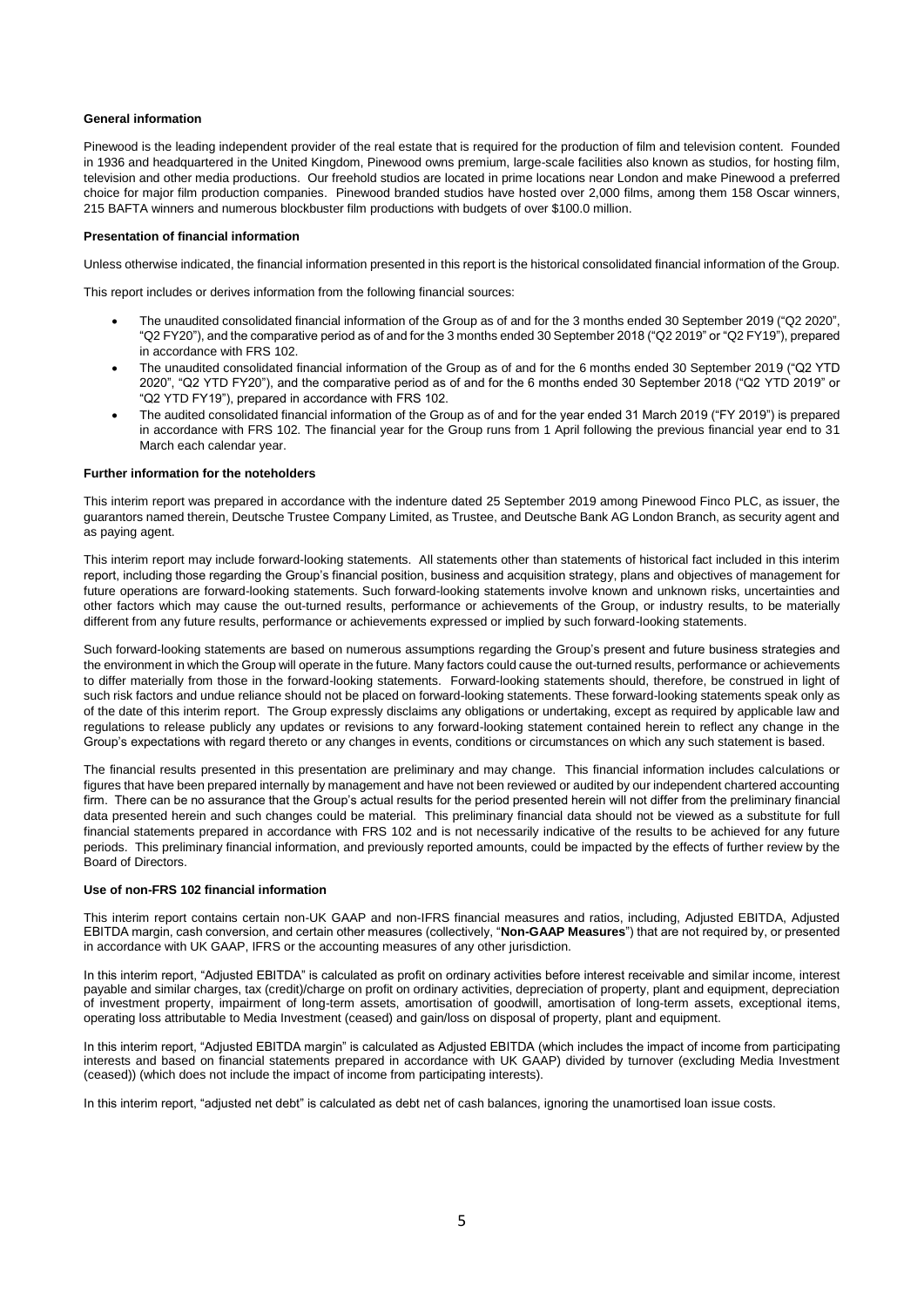## **General information**

Pinewood is the leading independent provider of the real estate that is required for the production of film and television content. Founded in 1936 and headquartered in the United Kingdom, Pinewood owns premium, large-scale facilities also known as studios, for hosting film, television and other media productions. Our freehold studios are located in prime locations near London and make Pinewood a preferred choice for major film production companies. Pinewood branded studios have hosted over 2,000 films, among them 158 Oscar winners, 215 BAFTA winners and numerous blockbuster film productions with budgets of over \$100.0 million.

## **Presentation of financial information**

Unless otherwise indicated, the financial information presented in this report is the historical consolidated financial information of the Group.

This report includes or derives information from the following financial sources:

- The unaudited consolidated financial information of the Group as of and for the 3 months ended 30 September 2019 ("Q2 2020", "Q2 FY20"), and the comparative period as of and for the 3 months ended 30 September 2018 ("Q2 2019" or "Q2 FY19"), prepared in accordance with FRS 102.
- The unaudited consolidated financial information of the Group as of and for the 6 months ended 30 September 2019 ("Q2 YTD 2020", "Q2 YTD FY20"), and the comparative period as of and for the 6 months ended 30 September 2018 ("Q2 YTD 2019" or "Q2 YTD FY19"), prepared in accordance with FRS 102.
- The audited consolidated financial information of the Group as of and for the year ended 31 March 2019 ("FY 2019") is prepared in accordance with FRS 102. The financial year for the Group runs from 1 April following the previous financial year end to 31 March each calendar year.

## **Further information for the noteholders**

This interim report was prepared in accordance with the indenture dated 25 September 2019 among Pinewood Finco PLC, as issuer, the guarantors named therein, Deutsche Trustee Company Limited, as Trustee, and Deutsche Bank AG London Branch, as security agent and as paying agent.

This interim report may include forward-looking statements. All statements other than statements of historical fact included in this interim report, including those regarding the Group's financial position, business and acquisition strategy, plans and objectives of management for future operations are forward-looking statements. Such forward-looking statements involve known and unknown risks, uncertainties and other factors which may cause the out-turned results, performance or achievements of the Group, or industry results, to be materially different from any future results, performance or achievements expressed or implied by such forward-looking statements.

Such forward-looking statements are based on numerous assumptions regarding the Group's present and future business strategies and the environment in which the Group will operate in the future. Many factors could cause the out-turned results, performance or achievements to differ materially from those in the forward-looking statements. Forward-looking statements should, therefore, be construed in light of such risk factors and undue reliance should not be placed on forward-looking statements. These forward-looking statements speak only as of the date of this interim report. The Group expressly disclaims any obligations or undertaking, except as required by applicable law and regulations to release publicly any updates or revisions to any forward-looking statement contained herein to reflect any change in the Group's expectations with regard thereto or any changes in events, conditions or circumstances on which any such statement is based.

The financial results presented in this presentation are preliminary and may change. This financial information includes calculations or figures that have been prepared internally by management and have not been reviewed or audited by our independent chartered accounting firm. There can be no assurance that the Group's actual results for the period presented herein will not differ from the preliminary financial data presented herein and such changes could be material. This preliminary financial data should not be viewed as a substitute for full financial statements prepared in accordance with FRS 102 and is not necessarily indicative of the results to be achieved for any future periods. This preliminary financial information, and previously reported amounts, could be impacted by the effects of further review by the Board of Directors.

## **Use of non-FRS 102 financial information**

This interim report contains certain non-UK GAAP and non-IFRS financial measures and ratios, including, Adjusted EBITDA, Adjusted EBITDA margin, cash conversion, and certain other measures (collectively, "**Non-GAAP Measures**") that are not required by, or presented in accordance with UK GAAP, IFRS or the accounting measures of any other jurisdiction.

In this interim report, "Adjusted EBITDA" is calculated as profit on ordinary activities before interest receivable and similar income, interest payable and similar charges, tax (credit)/charge on profit on ordinary activities, depreciation of property, plant and equipment, depreciation of investment property, impairment of long-term assets, amortisation of goodwill, amortisation of long-term assets, exceptional items, operating loss attributable to Media Investment (ceased) and gain/loss on disposal of property, plant and equipment.

In this interim report, "Adjusted EBITDA margin" is calculated as Adjusted EBITDA (which includes the impact of income from participating interests and based on financial statements prepared in accordance with UK GAAP) divided by turnover (excluding Media Investment (ceased)) (which does not include the impact of income from participating interests).

In this interim report, "adjusted net debt" is calculated as debt net of cash balances, ignoring the unamortised loan issue costs.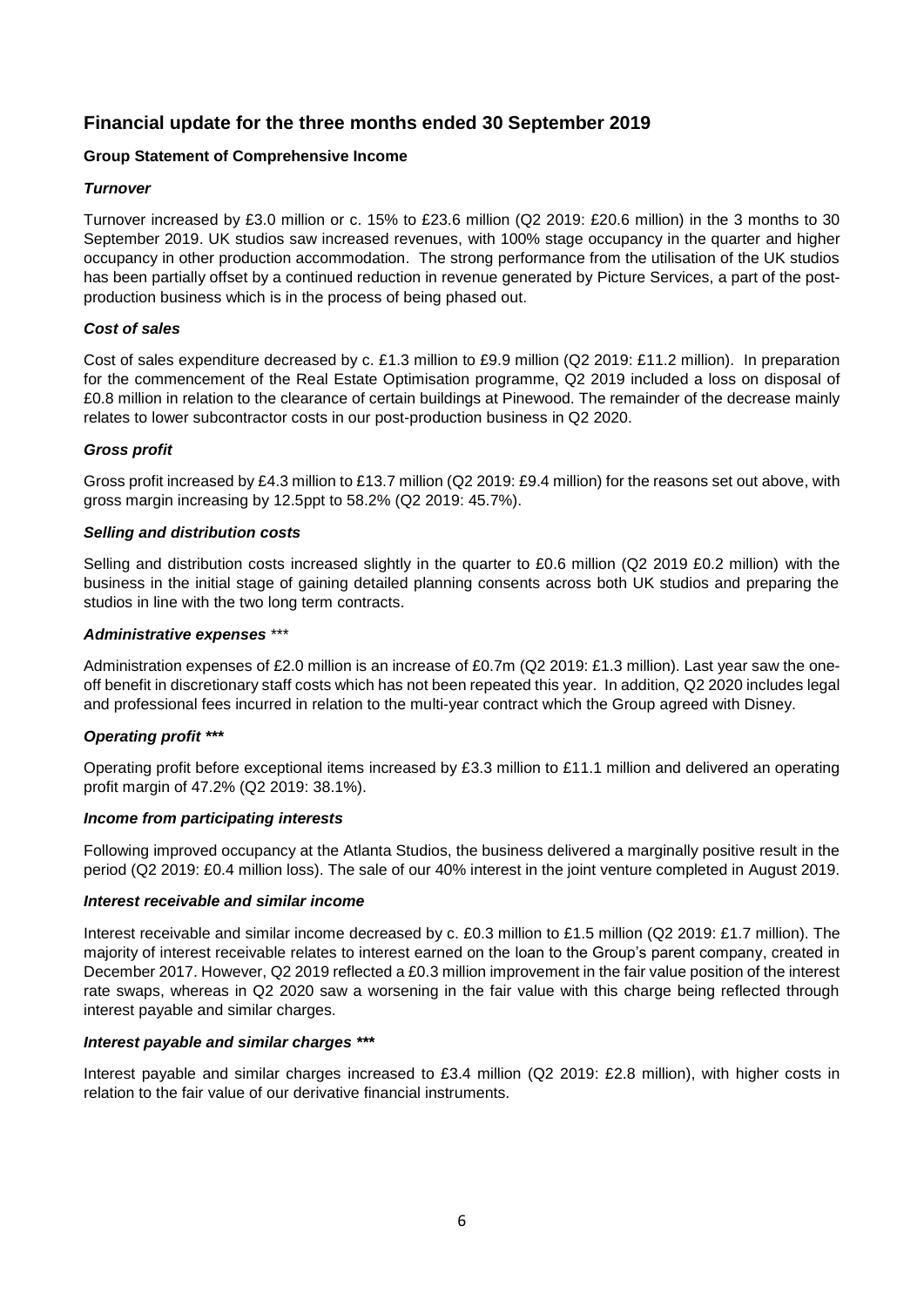# **Financial update for the three months ended 30 September 2019**

# **Group Statement of Comprehensive Income**

# *Turnover*

Turnover increased by £3.0 million or c. 15% to £23.6 million (Q2 2019: £20.6 million) in the 3 months to 30 September 2019. UK studios saw increased revenues, with 100% stage occupancy in the quarter and higher occupancy in other production accommodation. The strong performance from the utilisation of the UK studios has been partially offset by a continued reduction in revenue generated by Picture Services, a part of the postproduction business which is in the process of being phased out.

# *Cost of sales*

Cost of sales expenditure decreased by c. £1.3 million to £9.9 million (Q2 2019: £11.2 million). In preparation for the commencement of the Real Estate Optimisation programme, Q2 2019 included a loss on disposal of £0.8 million in relation to the clearance of certain buildings at Pinewood. The remainder of the decrease mainly relates to lower subcontractor costs in our post-production business in Q2 2020.

# *Gross profit*

Gross profit increased by £4.3 million to £13.7 million (Q2 2019: £9.4 million) for the reasons set out above, with gross margin increasing by 12.5ppt to 58.2% (Q2 2019: 45.7%).

# *Selling and distribution costs*

Selling and distribution costs increased slightly in the quarter to £0.6 million (Q2 2019 £0.2 million) with the business in the initial stage of gaining detailed planning consents across both UK studios and preparing the studios in line with the two long term contracts.

# *Administrative expenses* \*\*\*

Administration expenses of £2.0 million is an increase of £0.7m (Q2 2019: £1.3 million). Last year saw the oneoff benefit in discretionary staff costs which has not been repeated this year. In addition, Q2 2020 includes legal and professional fees incurred in relation to the multi-year contract which the Group agreed with Disney.

# *Operating profit \*\*\**

Operating profit before exceptional items increased by £3.3 million to £11.1 million and delivered an operating profit margin of 47.2% (Q2 2019: 38.1%).

# *Income from participating interests*

Following improved occupancy at the Atlanta Studios, the business delivered a marginally positive result in the period (Q2 2019: £0.4 million loss). The sale of our 40% interest in the joint venture completed in August 2019.

# *Interest receivable and similar income*

Interest receivable and similar income decreased by c. £0.3 million to £1.5 million (Q2 2019: £1.7 million). The majority of interest receivable relates to interest earned on the loan to the Group's parent company, created in December 2017. However, Q2 2019 reflected a £0.3 million improvement in the fair value position of the interest rate swaps, whereas in Q2 2020 saw a worsening in the fair value with this charge being reflected through interest payable and similar charges.

# *Interest payable and similar charges \*\*\**

Interest payable and similar charges increased to £3.4 million (Q2 2019: £2.8 million), with higher costs in relation to the fair value of our derivative financial instruments.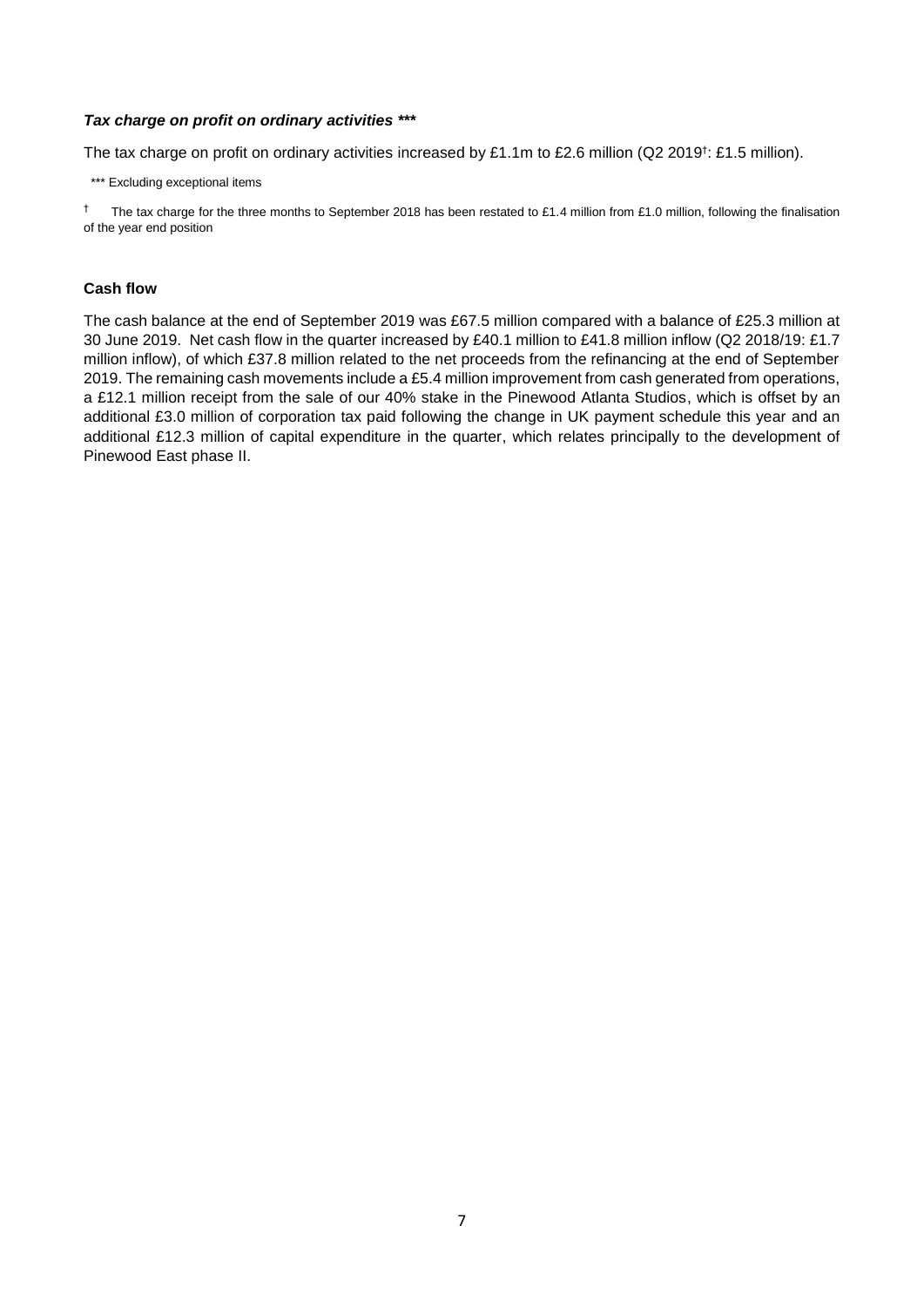## *Tax charge on profit on ordinary activities \*\*\**

The tax charge on profit on ordinary activities increased by £1.1m to £2.6 million (Q2 2019<sup>†</sup>: £1.5 million).

\*\*\* Excluding exceptional items

† The tax charge for the three months to September 2018 has been restated to £1.4 million from £1.0 million, following the finalisation of the year end position

## **Cash flow**

The cash balance at the end of September 2019 was £67.5 million compared with a balance of £25.3 million at 30 June 2019. Net cash flow in the quarter increased by £40.1 million to £41.8 million inflow (Q2 2018/19: £1.7 million inflow), of which £37.8 million related to the net proceeds from the refinancing at the end of September 2019. The remaining cash movements include a £5.4 million improvement from cash generated from operations, a £12.1 million receipt from the sale of our 40% stake in the Pinewood Atlanta Studios, which is offset by an additional £3.0 million of corporation tax paid following the change in UK payment schedule this year and an additional £12.3 million of capital expenditure in the quarter, which relates principally to the development of Pinewood East phase II.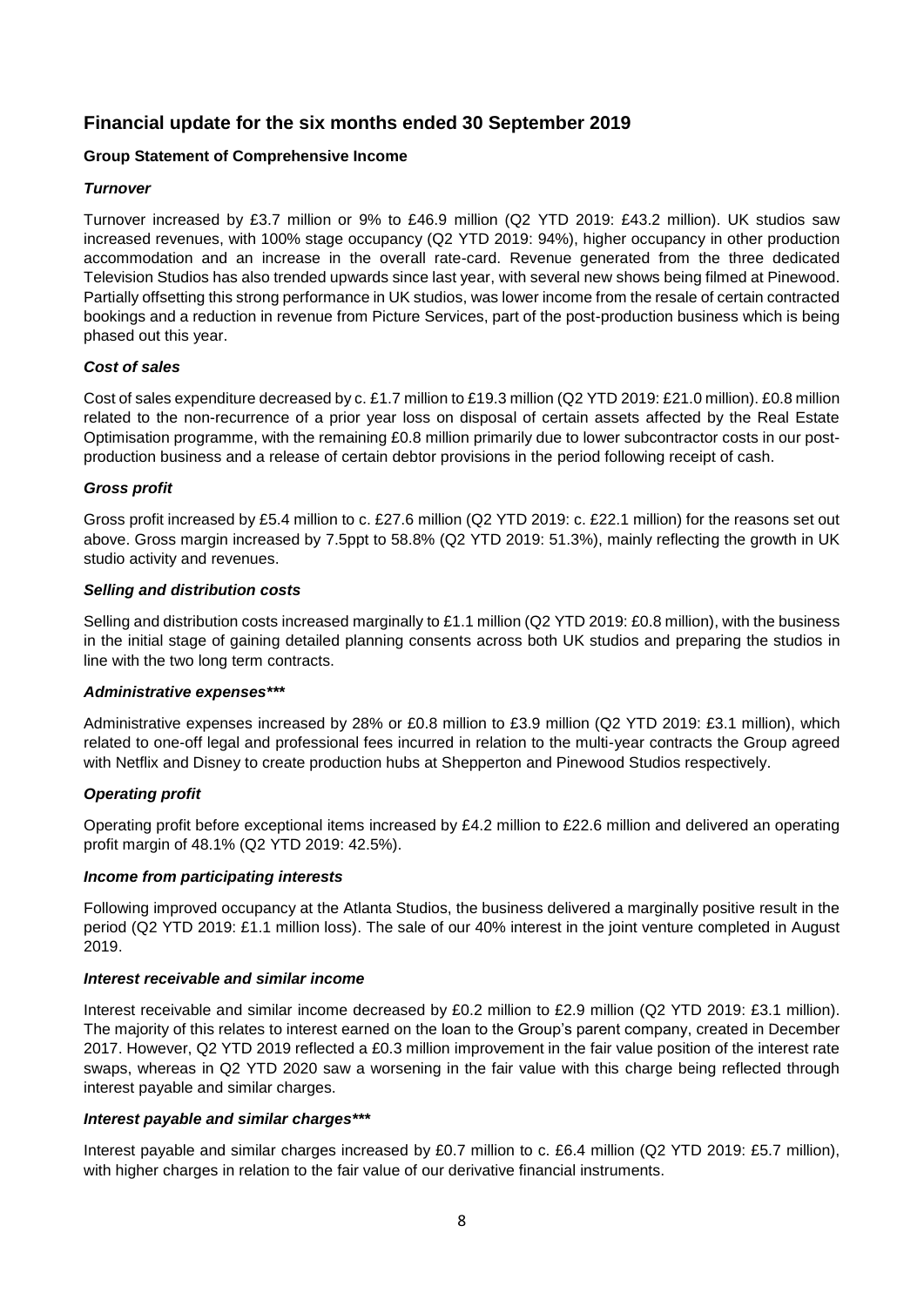# **Financial update for the six months ended 30 September 2019**

# **Group Statement of Comprehensive Income**

# *Turnover*

Turnover increased by £3.7 million or 9% to £46.9 million (Q2 YTD 2019: £43.2 million). UK studios saw increased revenues, with 100% stage occupancy (Q2 YTD 2019: 94%), higher occupancy in other production accommodation and an increase in the overall rate-card. Revenue generated from the three dedicated Television Studios has also trended upwards since last year, with several new shows being filmed at Pinewood. Partially offsetting this strong performance in UK studios, was lower income from the resale of certain contracted bookings and a reduction in revenue from Picture Services, part of the post-production business which is being phased out this year.

# *Cost of sales*

Cost of sales expenditure decreased by c. £1.7 million to £19.3 million (Q2 YTD 2019: £21.0 million). £0.8 million related to the non-recurrence of a prior year loss on disposal of certain assets affected by the Real Estate Optimisation programme, with the remaining £0.8 million primarily due to lower subcontractor costs in our postproduction business and a release of certain debtor provisions in the period following receipt of cash.

# *Gross profit*

Gross profit increased by £5.4 million to c. £27.6 million (Q2 YTD 2019: c. £22.1 million) for the reasons set out above. Gross margin increased by 7.5ppt to 58.8% (Q2 YTD 2019: 51.3%), mainly reflecting the growth in UK studio activity and revenues.

# *Selling and distribution costs*

Selling and distribution costs increased marginally to £1.1 million (Q2 YTD 2019: £0.8 million), with the business in the initial stage of gaining detailed planning consents across both UK studios and preparing the studios in line with the two long term contracts.

# *Administrative expenses\*\*\**

Administrative expenses increased by 28% or £0.8 million to £3.9 million (Q2 YTD 2019: £3.1 million), which related to one-off legal and professional fees incurred in relation to the multi-year contracts the Group agreed with Netflix and Disney to create production hubs at Shepperton and Pinewood Studios respectively.

# *Operating profit*

Operating profit before exceptional items increased by £4.2 million to £22.6 million and delivered an operating profit margin of 48.1% (Q2 YTD 2019: 42.5%).

# *Income from participating interests*

Following improved occupancy at the Atlanta Studios, the business delivered a marginally positive result in the period (Q2 YTD 2019: £1.1 million loss). The sale of our 40% interest in the joint venture completed in August 2019.

# *Interest receivable and similar income*

Interest receivable and similar income decreased by £0.2 million to £2.9 million (Q2 YTD 2019: £3.1 million). The majority of this relates to interest earned on the loan to the Group's parent company, created in December 2017. However, Q2 YTD 2019 reflected a £0.3 million improvement in the fair value position of the interest rate swaps, whereas in Q2 YTD 2020 saw a worsening in the fair value with this charge being reflected through interest payable and similar charges.

# *Interest payable and similar charges\*\*\**

Interest payable and similar charges increased by £0.7 million to c. £6.4 million (Q2 YTD 2019: £5.7 million), with higher charges in relation to the fair value of our derivative financial instruments.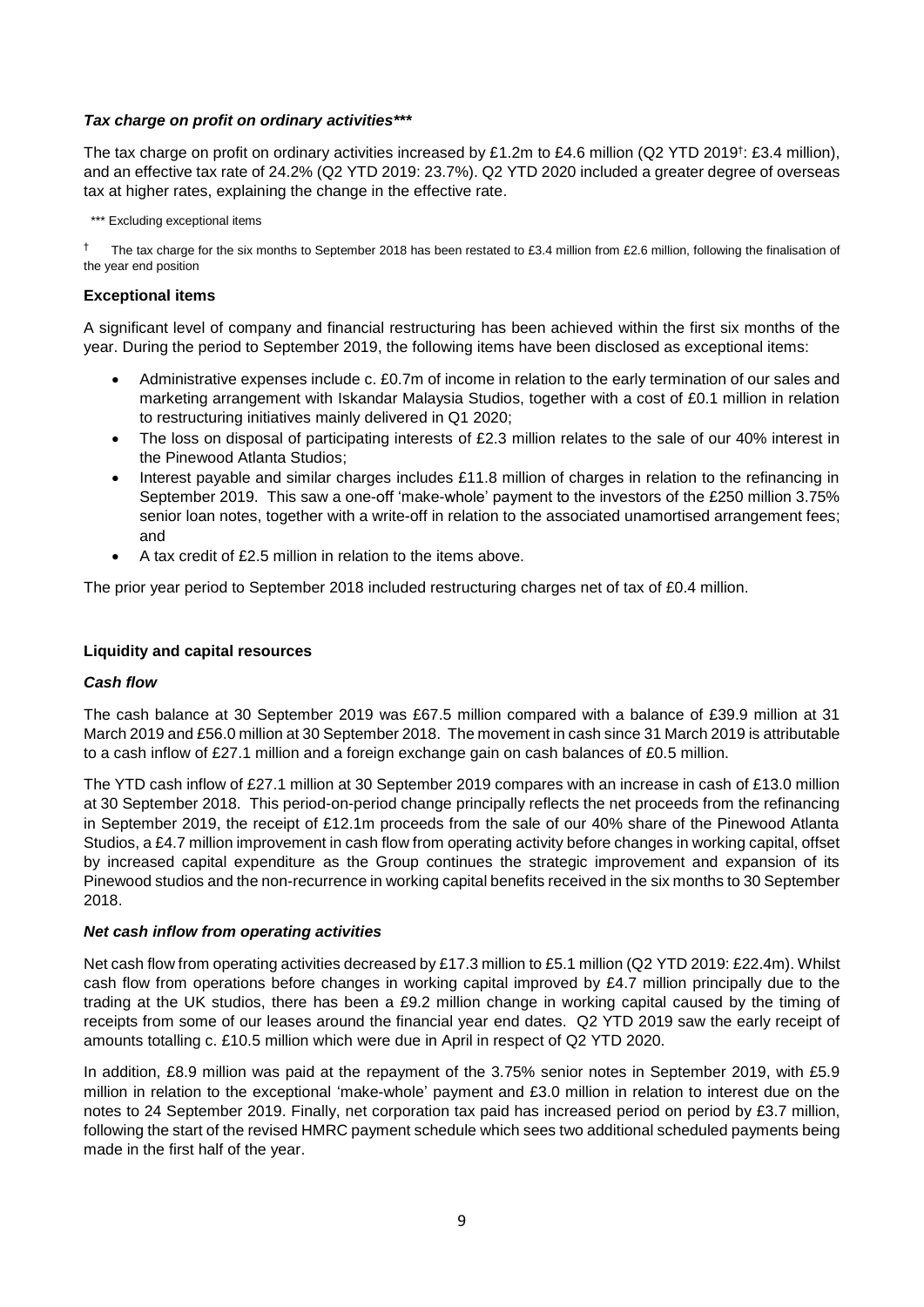# *Tax charge on profit on ordinary activities\*\*\**

The tax charge on profit on ordinary activities increased by £1.2m to £4.6 million (Q2 YTD 2019<sup>†</sup>: £3.4 million), and an effective tax rate of 24.2% (Q2 YTD 2019: 23.7%). Q2 YTD 2020 included a greater degree of overseas tax at higher rates, explaining the change in the effective rate.

\*\*\* Excluding exceptional items

The tax charge for the six months to September 2018 has been restated to £3.4 million from £2.6 million, following the finalisation of the year end position

## **Exceptional items**

A significant level of company and financial restructuring has been achieved within the first six months of the year. During the period to September 2019, the following items have been disclosed as exceptional items:

- Administrative expenses include c. £0.7m of income in relation to the early termination of our sales and marketing arrangement with Iskandar Malaysia Studios, together with a cost of £0.1 million in relation to restructuring initiatives mainly delivered in Q1 2020;
- The loss on disposal of participating interests of £2.3 million relates to the sale of our 40% interest in the Pinewood Atlanta Studios;
- Interest payable and similar charges includes £11.8 million of charges in relation to the refinancing in September 2019. This saw a one-off 'make-whole' payment to the investors of the £250 million 3.75% senior loan notes, together with a write-off in relation to the associated unamortised arrangement fees; and
- A tax credit of £2.5 million in relation to the items above.

The prior year period to September 2018 included restructuring charges net of tax of £0.4 million.

## **Liquidity and capital resources**

# *Cash flow*

The cash balance at 30 September 2019 was £67.5 million compared with a balance of £39.9 million at 31 March 2019 and £56.0 million at 30 September 2018. The movement in cash since 31 March 2019 is attributable to a cash inflow of £27.1 million and a foreign exchange gain on cash balances of £0.5 million.

The YTD cash inflow of £27.1 million at 30 September 2019 compares with an increase in cash of £13.0 million at 30 September 2018. This period-on-period change principally reflects the net proceeds from the refinancing in September 2019, the receipt of £12.1m proceeds from the sale of our 40% share of the Pinewood Atlanta Studios, a £4.7 million improvement in cash flow from operating activity before changes in working capital, offset by increased capital expenditure as the Group continues the strategic improvement and expansion of its Pinewood studios and the non-recurrence in working capital benefits received in the six months to 30 September 2018.

## *Net cash inflow from operating activities*

Net cash flow from operating activities decreased by £17.3 million to £5.1 million (Q2 YTD 2019: £22.4m). Whilst cash flow from operations before changes in working capital improved by £4.7 million principally due to the trading at the UK studios, there has been a £9.2 million change in working capital caused by the timing of receipts from some of our leases around the financial year end dates. Q2 YTD 2019 saw the early receipt of amounts totalling c. £10.5 million which were due in April in respect of Q2 YTD 2020.

In addition, £8.9 million was paid at the repayment of the 3.75% senior notes in September 2019, with £5.9 million in relation to the exceptional 'make-whole' payment and £3.0 million in relation to interest due on the notes to 24 September 2019. Finally, net corporation tax paid has increased period on period by £3.7 million, following the start of the revised HMRC payment schedule which sees two additional scheduled payments being made in the first half of the year.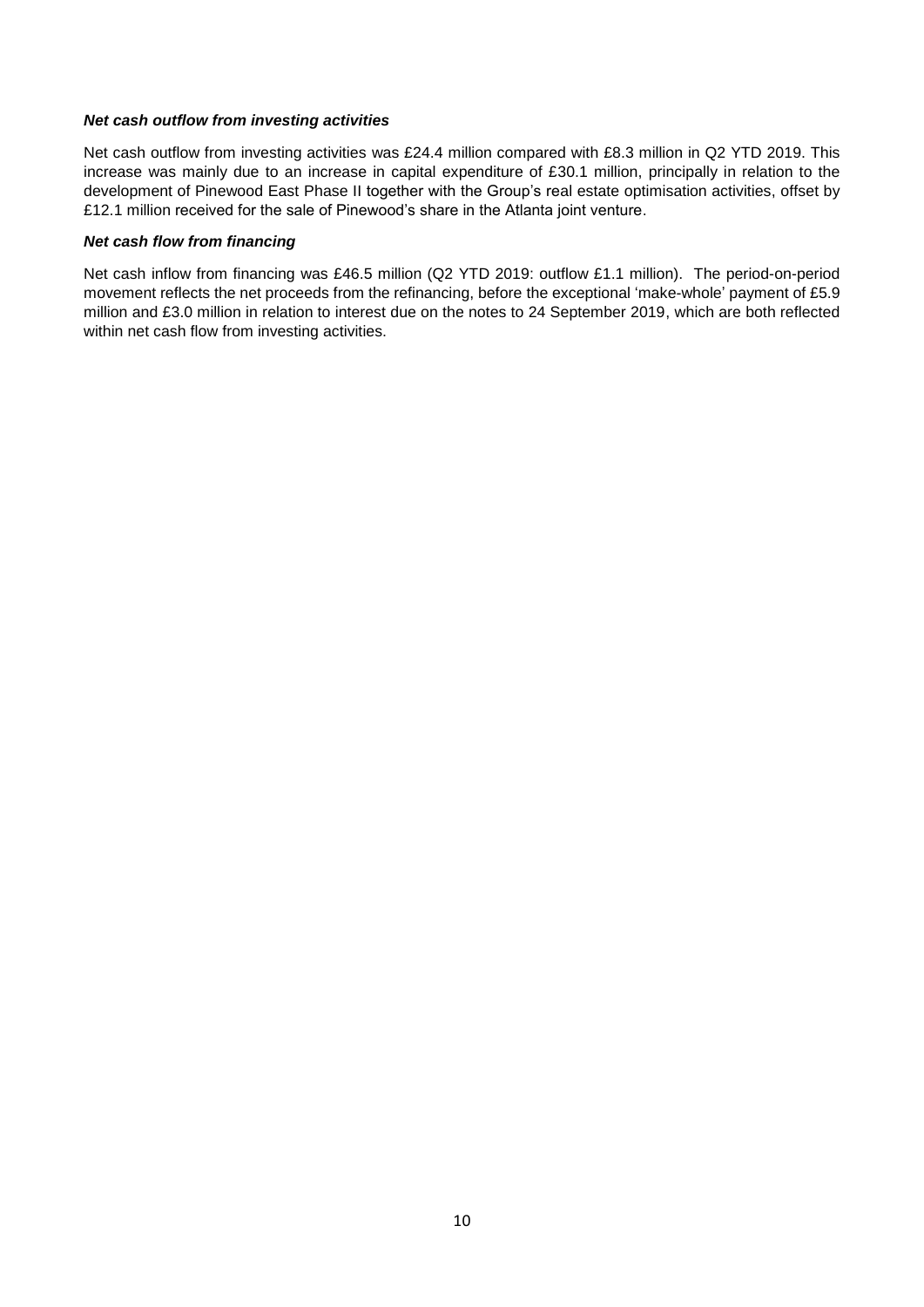## *Net cash outflow from investing activities*

Net cash outflow from investing activities was £24.4 million compared with £8.3 million in Q2 YTD 2019. This increase was mainly due to an increase in capital expenditure of £30.1 million, principally in relation to the development of Pinewood East Phase II together with the Group's real estate optimisation activities, offset by £12.1 million received for the sale of Pinewood's share in the Atlanta joint venture.

## *Net cash flow from financing*

Net cash inflow from financing was £46.5 million (Q2 YTD 2019: outflow £1.1 million). The period-on-period movement reflects the net proceeds from the refinancing, before the exceptional 'make-whole' payment of £5.9 million and £3.0 million in relation to interest due on the notes to 24 September 2019, which are both reflected within net cash flow from investing activities.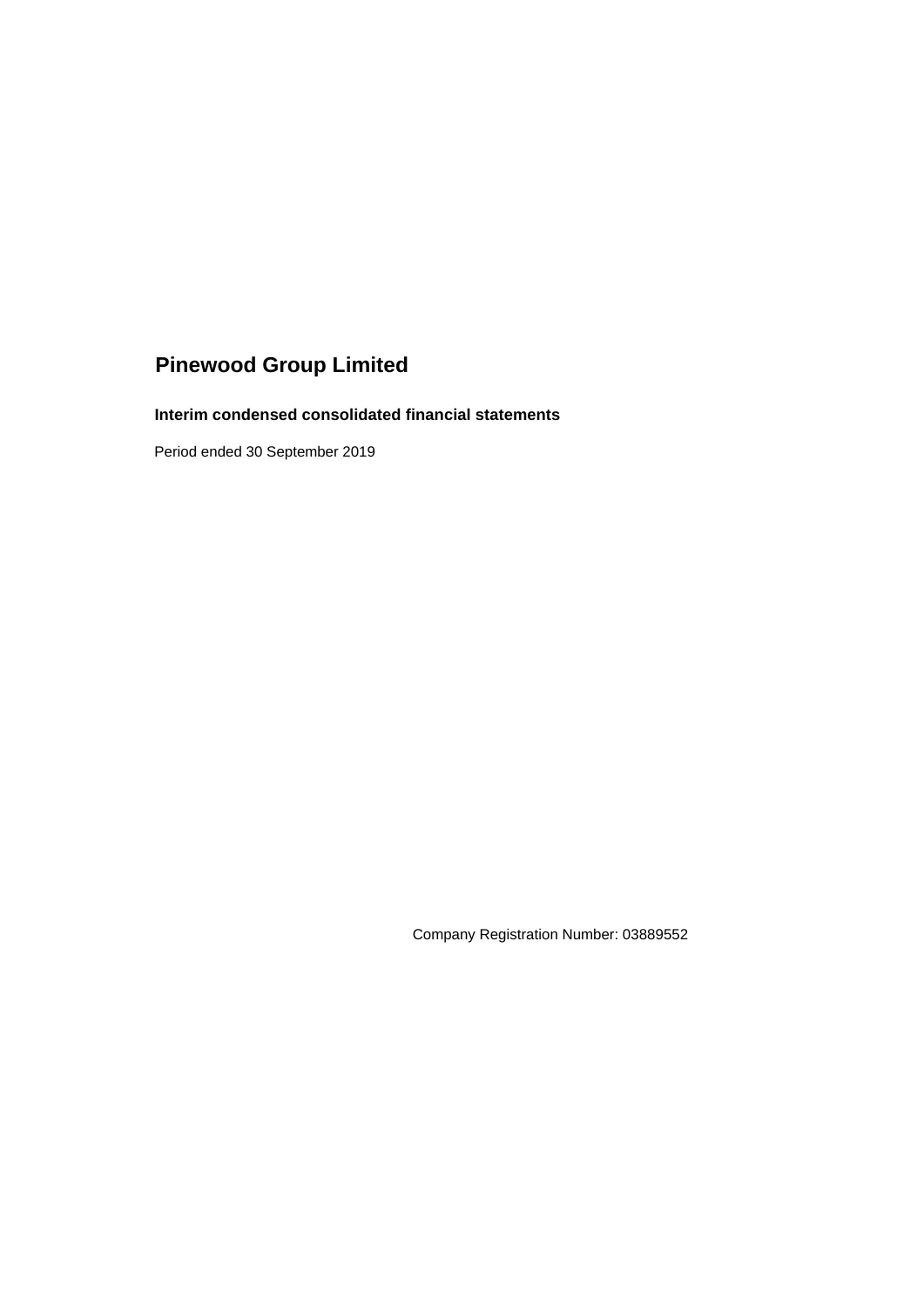# **Interim condensed consolidated financial statements**

Period ended 30 September 2019

Company Registration Number: 03889552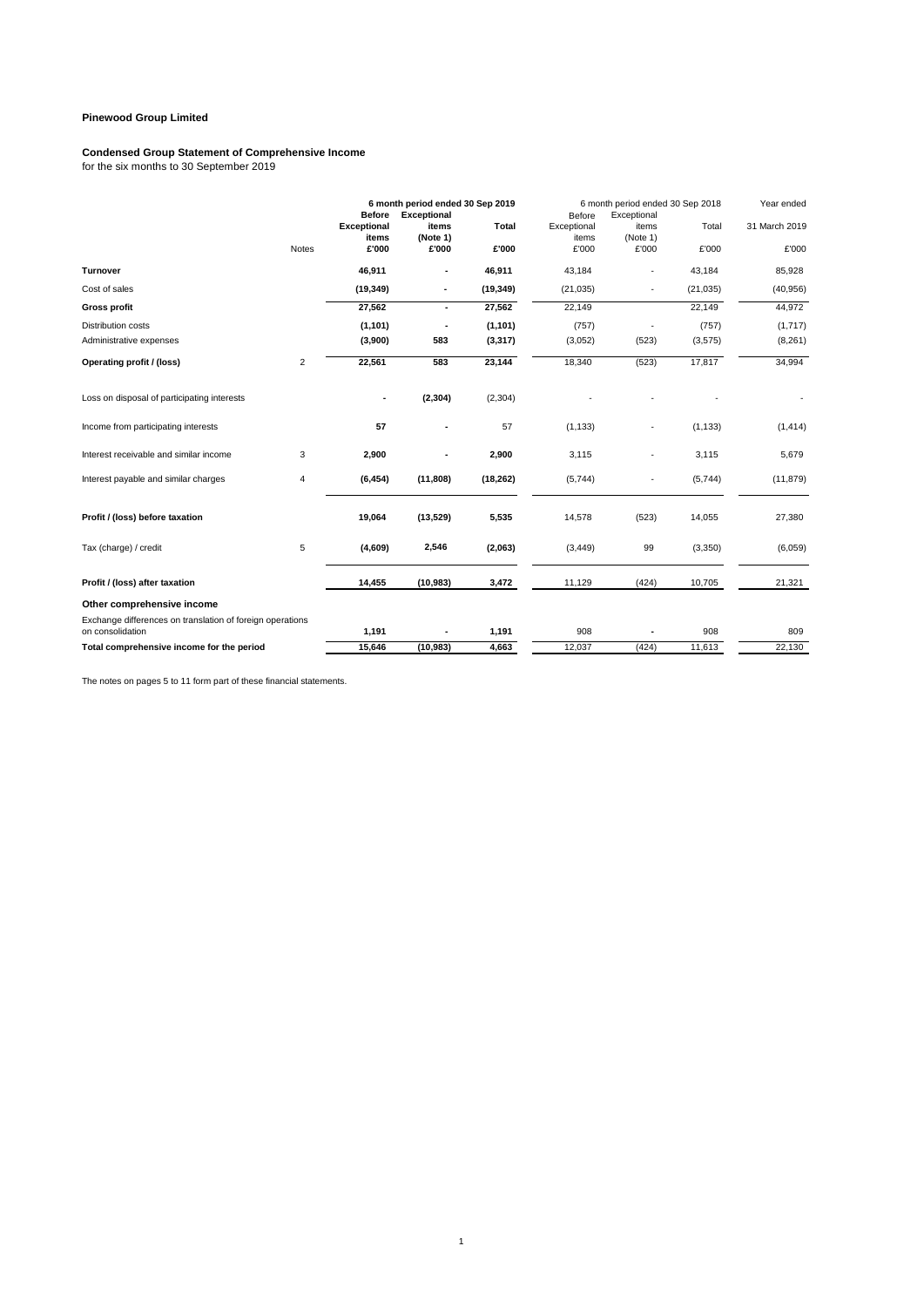## **Condensed Group Statement of Comprehensive Income**

for the six months to 30 September 2019

|                                                                               |                | <b>Before</b>      | 6 month period ended 30 Sep 2019<br><b>Exceptional</b> |              | Before         | 6 month period ended 30 Sep 2018<br>Exceptional |           | Year ended    |
|-------------------------------------------------------------------------------|----------------|--------------------|--------------------------------------------------------|--------------|----------------|-------------------------------------------------|-----------|---------------|
|                                                                               |                | <b>Exceptional</b> | items<br>(Note 1)                                      | <b>Total</b> | Exceptional    | items<br>(Note 1)                               | Total     | 31 March 2019 |
|                                                                               | <b>Notes</b>   | items<br>£'000     | £'000                                                  | £'000        | items<br>£'000 | £'000                                           | £'000     | £'000         |
| <b>Turnover</b>                                                               |                | 46,911             | ٠                                                      | 46,911       | 43,184         |                                                 | 43,184    | 85,928        |
| Cost of sales                                                                 |                | (19, 349)          | $\overline{\phantom{a}}$                               | (19, 349)    | (21, 035)      | ٠                                               | (21, 035) | (40, 956)     |
| <b>Gross profit</b>                                                           |                | 27,562             | $\overline{\phantom{a}}$                               | 27,562       | 22,149         |                                                 | 22,149    | 44,972        |
| <b>Distribution costs</b>                                                     |                | (1, 101)           | ٠                                                      | (1, 101)     | (757)          |                                                 | (757)     | (1,717)       |
| Administrative expenses                                                       |                | (3,900)            | 583                                                    | (3, 317)     | (3,052)        | (523)                                           | (3,575)   | (8,261)       |
| Operating profit / (loss)                                                     | $\overline{2}$ | 22,561             | 583                                                    | 23,144       | 18,340         | (523)                                           | 17,817    | 34,994        |
| Loss on disposal of participating interests                                   |                |                    | (2, 304)                                               | (2, 304)     |                |                                                 |           |               |
| Income from participating interests                                           |                | 57                 | ٠                                                      | 57           | (1, 133)       |                                                 | (1, 133)  | (1, 414)      |
| Interest receivable and similar income                                        | 3              | 2,900              |                                                        | 2,900        | 3,115          |                                                 | 3,115     | 5,679         |
| Interest payable and similar charges                                          | 4              | (6, 454)           | (11, 808)                                              | (18, 262)    | (5,744)        |                                                 | (5,744)   | (11, 879)     |
| Profit / (loss) before taxation                                               |                | 19,064             | (13,529)                                               | 5,535        | 14,578         | (523)                                           | 14,055    | 27,380        |
| Tax (charge) / credit                                                         | 5              | (4,609)            | 2,546                                                  | (2,063)      | (3, 449)       | 99                                              | (3,350)   | (6,059)       |
| Profit / (loss) after taxation                                                |                | 14,455             | (10, 983)                                              | 3,472        | 11,129         | (424)                                           | 10,705    | 21,321        |
| Other comprehensive income                                                    |                |                    |                                                        |              |                |                                                 |           |               |
| Exchange differences on translation of foreign operations<br>on consolidation |                | 1,191              |                                                        | 1,191        | 908            |                                                 | 908       | 809           |
| Total comprehensive income for the period                                     |                | 15,646             | (10, 983)                                              | 4,663        | 12,037         | (424)                                           | 11,613    | 22,130        |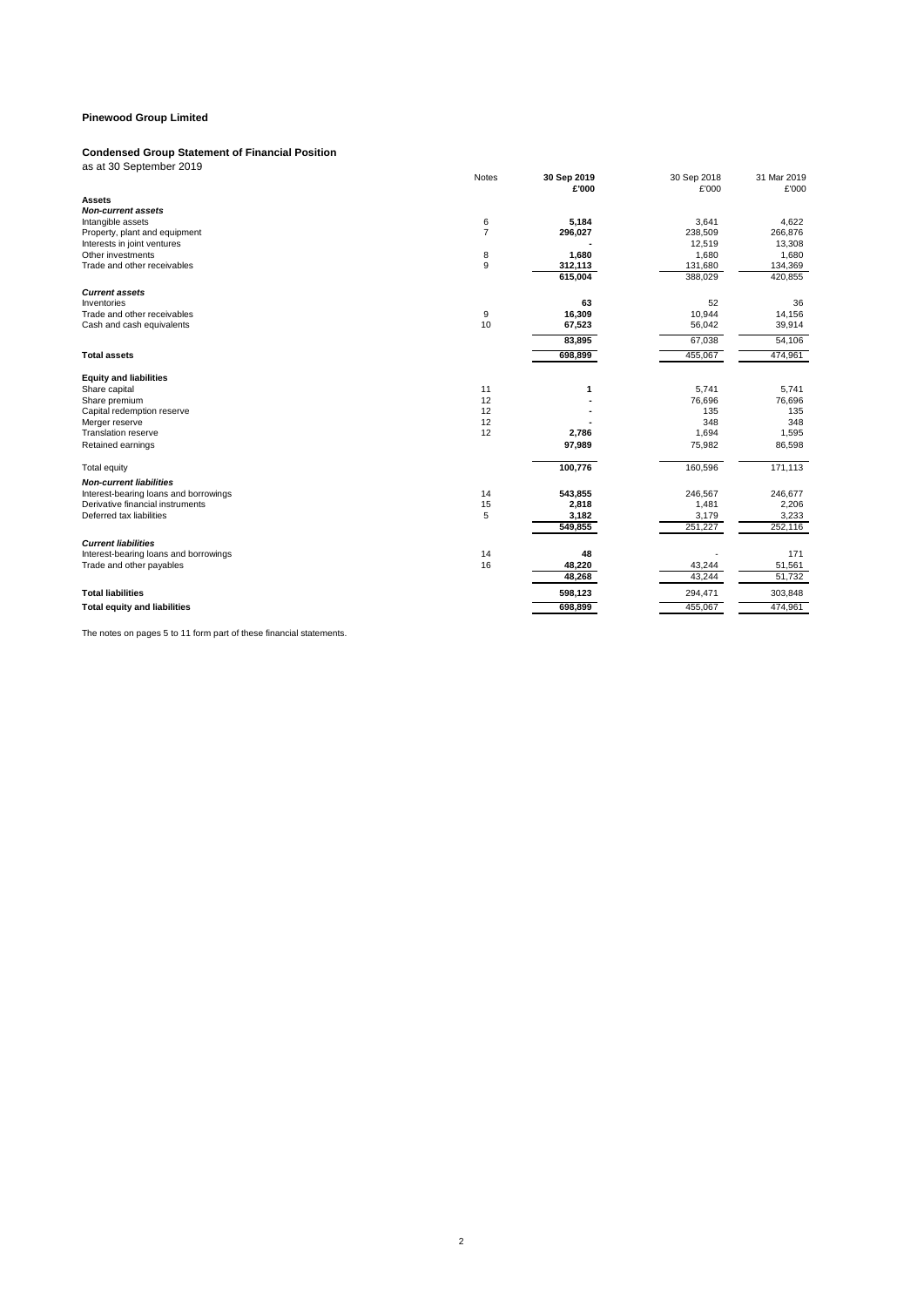#### **Condensed Group Statement of Financial Position**

| as at 30 September 2019                                                   |                |                      |                      |                      |
|---------------------------------------------------------------------------|----------------|----------------------|----------------------|----------------------|
|                                                                           | Notes          | 30 Sep 2019<br>£'000 | 30 Sep 2018<br>£'000 | 31 Mar 2019<br>£'000 |
| <b>Assets</b>                                                             |                |                      |                      |                      |
| <b>Non-current assets</b>                                                 |                |                      |                      |                      |
| Intangible assets                                                         | 6              | 5,184                | 3,641                | 4,622                |
| Property, plant and equipment                                             | $\overline{7}$ | 296,027              | 238,509              | 266,876              |
| Interests in joint ventures                                               |                |                      | 12,519               | 13,308               |
| Other investments                                                         | 8              | 1,680                | 1,680                | 1,680                |
| Trade and other receivables                                               | 9              | 312,113<br>615,004   | 131,680<br>388,029   | 134,369<br>420,855   |
| <b>Current assets</b>                                                     |                |                      |                      |                      |
| Inventories                                                               |                | 63                   | 52                   | 36                   |
| Trade and other receivables                                               | 9              | 16,309               | 10,944               | 14,156               |
| Cash and cash equivalents                                                 | 10             | 67,523               | 56,042               | 39,914               |
|                                                                           |                | 83,895               | 67,038               | 54,106               |
| <b>Total assets</b>                                                       |                | 698,899              | 455,067              | 474,961              |
| <b>Equity and liabilities</b>                                             |                |                      |                      |                      |
| Share capital                                                             | 11             | 1                    | 5.741                | 5.741                |
| Share premium                                                             | 12             |                      | 76,696               | 76,696               |
| Capital redemption reserve                                                | 12             |                      | 135                  | 135                  |
| Merger reserve                                                            | 12             |                      | 348                  | 348                  |
| <b>Translation reserve</b>                                                | 12             | 2,786                | 1,694                | 1,595                |
| Retained earnings                                                         |                | 97,989               | 75,982               | 86,598               |
| <b>Total equity</b>                                                       |                | 100,776              | 160,596              | 171,113              |
| <b>Non-current liabilities</b>                                            |                |                      |                      |                      |
| Interest-bearing loans and borrowings<br>Derivative financial instruments | 14<br>15       | 543,855              | 246,567<br>1,481     | 246,677              |
| Deferred tax liabilities                                                  | 5              | 2,818<br>3,182       | 3,179                | 2,206<br>3,233       |
|                                                                           |                | 549,855              | 251,227              | 252,116              |
|                                                                           |                |                      |                      |                      |
| <b>Current liabilities</b>                                                |                |                      |                      |                      |
| Interest-bearing loans and borrowings<br>Trade and other payables         | 14<br>16       | 48<br>48,220         | 43,244               | 171<br>51,561        |
|                                                                           |                | 48,268               | 43,244               | 51,732               |
| <b>Total liabilities</b>                                                  |                | 598,123              | 294,471              | 303,848              |
| <b>Total equity and liabilities</b>                                       |                | 698,899              | 455,067              | 474,961              |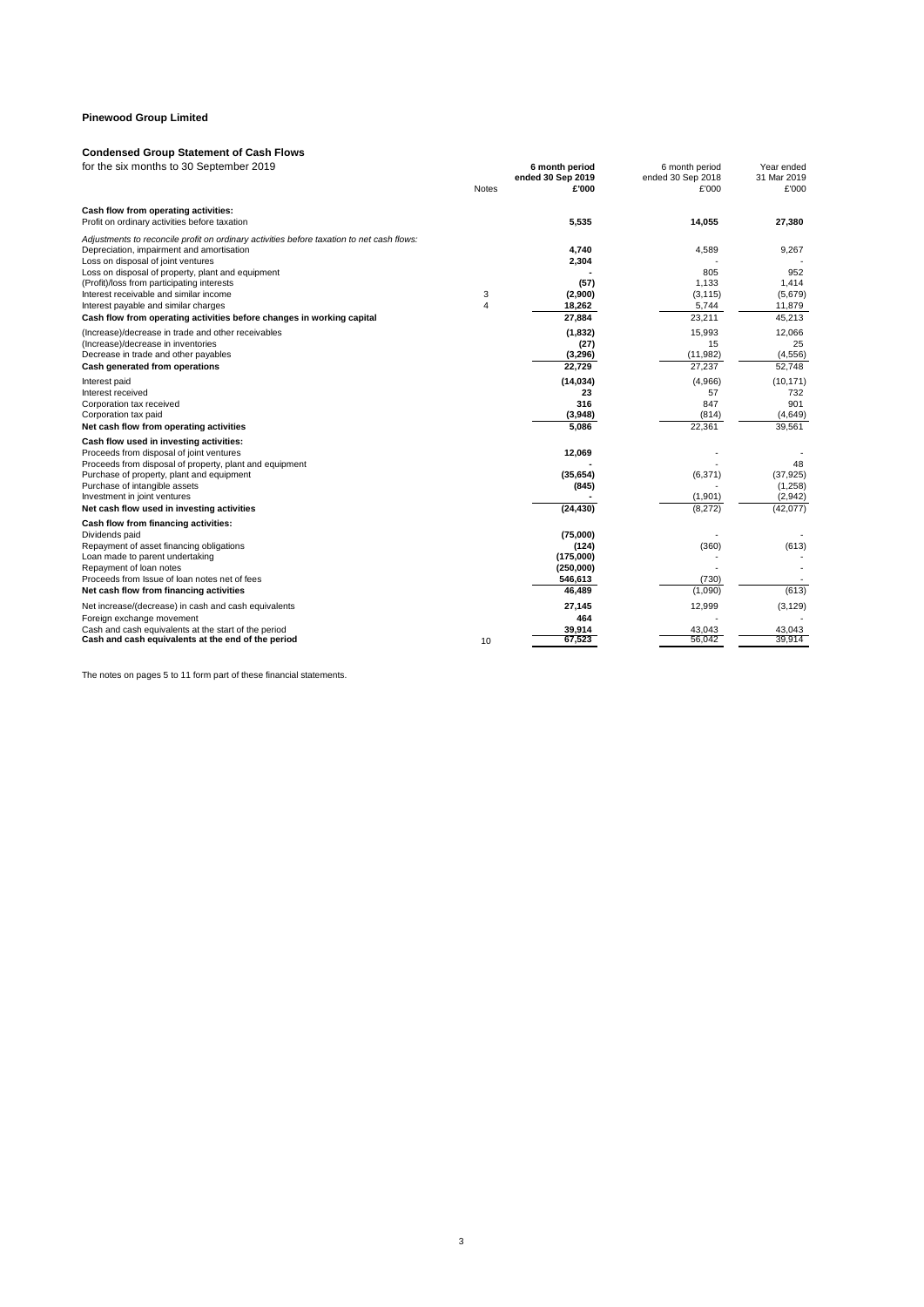## **Condensed Group Statement of Cash Flows**

| <b>Notes</b><br>£'000<br>£'000<br>£'000<br>Cash flow from operating activities:<br>Profit on ordinary activities before taxation<br>5,535<br>14,055<br>27,380<br>Adjustments to reconcile profit on ordinary activities before taxation to net cash flows:<br>4,740<br>4,589<br>9,267<br>Depreciation, impairment and amortisation<br>Loss on disposal of joint ventures<br>2,304<br>805<br>952<br>Loss on disposal of property, plant and equipment<br>(Profit)/loss from participating interests<br>1.133<br>(57)<br>1.414<br>Interest receivable and similar income<br>3<br>(2,900)<br>(3, 115)<br>(5,679)<br>Interest payable and similar charges<br>4<br>18,262<br>5,744<br>11,879<br>27,884<br>23.211<br>45,213<br>Cash flow from operating activities before changes in working capital<br>(Increase)/decrease in trade and other receivables<br>(1, 832)<br>15.993<br>12.066<br>15<br>25<br>(Increase)/decrease in inventories<br>(27)<br>(11,982)<br>Decrease in trade and other payables<br>(3,296)<br>(4,556)<br>22,729<br>27.237<br>Cash generated from operations<br>52,748<br>(14, 034)<br>(4,966)<br>Interest paid<br>23<br>57<br>732<br>Interest received<br>316<br>847<br>901<br>Corporation tax received<br>Corporation tax paid<br>(3,948)<br>(814)<br>(4,649)<br>22,361<br>5,086<br>39,561<br>Net cash flow from operating activities<br>Cash flow used in investing activities:<br>Proceeds from disposal of joint ventures<br>12,069<br>Proceeds from disposal of property, plant and equipment<br>48<br>(35, 654)<br>(6, 371)<br>Purchase of property, plant and equipment<br>(37, 925)<br>(1,258)<br>Purchase of intangible assets<br>(845)<br>(1,901)<br>(2,942)<br>Investment in joint ventures<br>(24, 430)<br>Net cash flow used in investing activities<br>(8,272)<br>(42,077)<br>Cash flow from financing activities:<br>(75,000)<br>Dividends paid<br>Repayment of asset financing obligations<br>(360)<br>(613)<br>(124)<br>Loan made to parent undertaking<br>(175,000)<br>Repayment of loan notes<br>(250,000)<br>Proceeds from Issue of loan notes net of fees<br>546,613<br>(730)<br>(613)<br>(1,090)<br>Net cash flow from financing activities<br>46,489<br>12,999<br>(3, 129)<br>Net increase/(decrease) in cash and cash equivalents<br>27,145<br>Foreign exchange movement<br>464<br>Cash and cash equivalents at the start of the period<br>39,914<br>43,043<br>43,043<br>67,523<br>56.042<br>39.914<br>Cash and cash equivalents at the end of the period<br>10 | for the six months to 30 September 2019 |  | 6 month period    | 6 month period    | Year ended  |
|------------------------------------------------------------------------------------------------------------------------------------------------------------------------------------------------------------------------------------------------------------------------------------------------------------------------------------------------------------------------------------------------------------------------------------------------------------------------------------------------------------------------------------------------------------------------------------------------------------------------------------------------------------------------------------------------------------------------------------------------------------------------------------------------------------------------------------------------------------------------------------------------------------------------------------------------------------------------------------------------------------------------------------------------------------------------------------------------------------------------------------------------------------------------------------------------------------------------------------------------------------------------------------------------------------------------------------------------------------------------------------------------------------------------------------------------------------------------------------------------------------------------------------------------------------------------------------------------------------------------------------------------------------------------------------------------------------------------------------------------------------------------------------------------------------------------------------------------------------------------------------------------------------------------------------------------------------------------------------------------------------------------------------------------------------------------------------------------------------------------------------------------------------------------------------------------------------------------------------------------------------------------------------------------------------------------------------------------------------------------------------------------------------------------------------------------------------------------------------------------------------|-----------------------------------------|--|-------------------|-------------------|-------------|
|                                                                                                                                                                                                                                                                                                                                                                                                                                                                                                                                                                                                                                                                                                                                                                                                                                                                                                                                                                                                                                                                                                                                                                                                                                                                                                                                                                                                                                                                                                                                                                                                                                                                                                                                                                                                                                                                                                                                                                                                                                                                                                                                                                                                                                                                                                                                                                                                                                                                                                            |                                         |  | ended 30 Sep 2019 | ended 30 Sep 2018 | 31 Mar 2019 |
|                                                                                                                                                                                                                                                                                                                                                                                                                                                                                                                                                                                                                                                                                                                                                                                                                                                                                                                                                                                                                                                                                                                                                                                                                                                                                                                                                                                                                                                                                                                                                                                                                                                                                                                                                                                                                                                                                                                                                                                                                                                                                                                                                                                                                                                                                                                                                                                                                                                                                                            |                                         |  |                   |                   |             |
|                                                                                                                                                                                                                                                                                                                                                                                                                                                                                                                                                                                                                                                                                                                                                                                                                                                                                                                                                                                                                                                                                                                                                                                                                                                                                                                                                                                                                                                                                                                                                                                                                                                                                                                                                                                                                                                                                                                                                                                                                                                                                                                                                                                                                                                                                                                                                                                                                                                                                                            |                                         |  |                   |                   |             |
|                                                                                                                                                                                                                                                                                                                                                                                                                                                                                                                                                                                                                                                                                                                                                                                                                                                                                                                                                                                                                                                                                                                                                                                                                                                                                                                                                                                                                                                                                                                                                                                                                                                                                                                                                                                                                                                                                                                                                                                                                                                                                                                                                                                                                                                                                                                                                                                                                                                                                                            |                                         |  |                   |                   |             |
|                                                                                                                                                                                                                                                                                                                                                                                                                                                                                                                                                                                                                                                                                                                                                                                                                                                                                                                                                                                                                                                                                                                                                                                                                                                                                                                                                                                                                                                                                                                                                                                                                                                                                                                                                                                                                                                                                                                                                                                                                                                                                                                                                                                                                                                                                                                                                                                                                                                                                                            |                                         |  |                   |                   |             |
|                                                                                                                                                                                                                                                                                                                                                                                                                                                                                                                                                                                                                                                                                                                                                                                                                                                                                                                                                                                                                                                                                                                                                                                                                                                                                                                                                                                                                                                                                                                                                                                                                                                                                                                                                                                                                                                                                                                                                                                                                                                                                                                                                                                                                                                                                                                                                                                                                                                                                                            |                                         |  |                   |                   |             |
|                                                                                                                                                                                                                                                                                                                                                                                                                                                                                                                                                                                                                                                                                                                                                                                                                                                                                                                                                                                                                                                                                                                                                                                                                                                                                                                                                                                                                                                                                                                                                                                                                                                                                                                                                                                                                                                                                                                                                                                                                                                                                                                                                                                                                                                                                                                                                                                                                                                                                                            |                                         |  |                   |                   |             |
|                                                                                                                                                                                                                                                                                                                                                                                                                                                                                                                                                                                                                                                                                                                                                                                                                                                                                                                                                                                                                                                                                                                                                                                                                                                                                                                                                                                                                                                                                                                                                                                                                                                                                                                                                                                                                                                                                                                                                                                                                                                                                                                                                                                                                                                                                                                                                                                                                                                                                                            |                                         |  |                   |                   |             |
|                                                                                                                                                                                                                                                                                                                                                                                                                                                                                                                                                                                                                                                                                                                                                                                                                                                                                                                                                                                                                                                                                                                                                                                                                                                                                                                                                                                                                                                                                                                                                                                                                                                                                                                                                                                                                                                                                                                                                                                                                                                                                                                                                                                                                                                                                                                                                                                                                                                                                                            |                                         |  |                   |                   |             |
|                                                                                                                                                                                                                                                                                                                                                                                                                                                                                                                                                                                                                                                                                                                                                                                                                                                                                                                                                                                                                                                                                                                                                                                                                                                                                                                                                                                                                                                                                                                                                                                                                                                                                                                                                                                                                                                                                                                                                                                                                                                                                                                                                                                                                                                                                                                                                                                                                                                                                                            |                                         |  |                   |                   |             |
|                                                                                                                                                                                                                                                                                                                                                                                                                                                                                                                                                                                                                                                                                                                                                                                                                                                                                                                                                                                                                                                                                                                                                                                                                                                                                                                                                                                                                                                                                                                                                                                                                                                                                                                                                                                                                                                                                                                                                                                                                                                                                                                                                                                                                                                                                                                                                                                                                                                                                                            |                                         |  |                   |                   |             |
|                                                                                                                                                                                                                                                                                                                                                                                                                                                                                                                                                                                                                                                                                                                                                                                                                                                                                                                                                                                                                                                                                                                                                                                                                                                                                                                                                                                                                                                                                                                                                                                                                                                                                                                                                                                                                                                                                                                                                                                                                                                                                                                                                                                                                                                                                                                                                                                                                                                                                                            |                                         |  |                   |                   |             |
|                                                                                                                                                                                                                                                                                                                                                                                                                                                                                                                                                                                                                                                                                                                                                                                                                                                                                                                                                                                                                                                                                                                                                                                                                                                                                                                                                                                                                                                                                                                                                                                                                                                                                                                                                                                                                                                                                                                                                                                                                                                                                                                                                                                                                                                                                                                                                                                                                                                                                                            |                                         |  |                   |                   |             |
|                                                                                                                                                                                                                                                                                                                                                                                                                                                                                                                                                                                                                                                                                                                                                                                                                                                                                                                                                                                                                                                                                                                                                                                                                                                                                                                                                                                                                                                                                                                                                                                                                                                                                                                                                                                                                                                                                                                                                                                                                                                                                                                                                                                                                                                                                                                                                                                                                                                                                                            |                                         |  |                   |                   |             |
|                                                                                                                                                                                                                                                                                                                                                                                                                                                                                                                                                                                                                                                                                                                                                                                                                                                                                                                                                                                                                                                                                                                                                                                                                                                                                                                                                                                                                                                                                                                                                                                                                                                                                                                                                                                                                                                                                                                                                                                                                                                                                                                                                                                                                                                                                                                                                                                                                                                                                                            |                                         |  |                   |                   |             |
|                                                                                                                                                                                                                                                                                                                                                                                                                                                                                                                                                                                                                                                                                                                                                                                                                                                                                                                                                                                                                                                                                                                                                                                                                                                                                                                                                                                                                                                                                                                                                                                                                                                                                                                                                                                                                                                                                                                                                                                                                                                                                                                                                                                                                                                                                                                                                                                                                                                                                                            |                                         |  |                   |                   |             |
|                                                                                                                                                                                                                                                                                                                                                                                                                                                                                                                                                                                                                                                                                                                                                                                                                                                                                                                                                                                                                                                                                                                                                                                                                                                                                                                                                                                                                                                                                                                                                                                                                                                                                                                                                                                                                                                                                                                                                                                                                                                                                                                                                                                                                                                                                                                                                                                                                                                                                                            |                                         |  |                   |                   | (10, 171)   |
|                                                                                                                                                                                                                                                                                                                                                                                                                                                                                                                                                                                                                                                                                                                                                                                                                                                                                                                                                                                                                                                                                                                                                                                                                                                                                                                                                                                                                                                                                                                                                                                                                                                                                                                                                                                                                                                                                                                                                                                                                                                                                                                                                                                                                                                                                                                                                                                                                                                                                                            |                                         |  |                   |                   |             |
|                                                                                                                                                                                                                                                                                                                                                                                                                                                                                                                                                                                                                                                                                                                                                                                                                                                                                                                                                                                                                                                                                                                                                                                                                                                                                                                                                                                                                                                                                                                                                                                                                                                                                                                                                                                                                                                                                                                                                                                                                                                                                                                                                                                                                                                                                                                                                                                                                                                                                                            |                                         |  |                   |                   |             |
|                                                                                                                                                                                                                                                                                                                                                                                                                                                                                                                                                                                                                                                                                                                                                                                                                                                                                                                                                                                                                                                                                                                                                                                                                                                                                                                                                                                                                                                                                                                                                                                                                                                                                                                                                                                                                                                                                                                                                                                                                                                                                                                                                                                                                                                                                                                                                                                                                                                                                                            |                                         |  |                   |                   |             |
|                                                                                                                                                                                                                                                                                                                                                                                                                                                                                                                                                                                                                                                                                                                                                                                                                                                                                                                                                                                                                                                                                                                                                                                                                                                                                                                                                                                                                                                                                                                                                                                                                                                                                                                                                                                                                                                                                                                                                                                                                                                                                                                                                                                                                                                                                                                                                                                                                                                                                                            |                                         |  |                   |                   |             |
|                                                                                                                                                                                                                                                                                                                                                                                                                                                                                                                                                                                                                                                                                                                                                                                                                                                                                                                                                                                                                                                                                                                                                                                                                                                                                                                                                                                                                                                                                                                                                                                                                                                                                                                                                                                                                                                                                                                                                                                                                                                                                                                                                                                                                                                                                                                                                                                                                                                                                                            |                                         |  |                   |                   |             |
|                                                                                                                                                                                                                                                                                                                                                                                                                                                                                                                                                                                                                                                                                                                                                                                                                                                                                                                                                                                                                                                                                                                                                                                                                                                                                                                                                                                                                                                                                                                                                                                                                                                                                                                                                                                                                                                                                                                                                                                                                                                                                                                                                                                                                                                                                                                                                                                                                                                                                                            |                                         |  |                   |                   |             |
|                                                                                                                                                                                                                                                                                                                                                                                                                                                                                                                                                                                                                                                                                                                                                                                                                                                                                                                                                                                                                                                                                                                                                                                                                                                                                                                                                                                                                                                                                                                                                                                                                                                                                                                                                                                                                                                                                                                                                                                                                                                                                                                                                                                                                                                                                                                                                                                                                                                                                                            |                                         |  |                   |                   |             |
|                                                                                                                                                                                                                                                                                                                                                                                                                                                                                                                                                                                                                                                                                                                                                                                                                                                                                                                                                                                                                                                                                                                                                                                                                                                                                                                                                                                                                                                                                                                                                                                                                                                                                                                                                                                                                                                                                                                                                                                                                                                                                                                                                                                                                                                                                                                                                                                                                                                                                                            |                                         |  |                   |                   |             |
|                                                                                                                                                                                                                                                                                                                                                                                                                                                                                                                                                                                                                                                                                                                                                                                                                                                                                                                                                                                                                                                                                                                                                                                                                                                                                                                                                                                                                                                                                                                                                                                                                                                                                                                                                                                                                                                                                                                                                                                                                                                                                                                                                                                                                                                                                                                                                                                                                                                                                                            |                                         |  |                   |                   |             |
|                                                                                                                                                                                                                                                                                                                                                                                                                                                                                                                                                                                                                                                                                                                                                                                                                                                                                                                                                                                                                                                                                                                                                                                                                                                                                                                                                                                                                                                                                                                                                                                                                                                                                                                                                                                                                                                                                                                                                                                                                                                                                                                                                                                                                                                                                                                                                                                                                                                                                                            |                                         |  |                   |                   |             |
|                                                                                                                                                                                                                                                                                                                                                                                                                                                                                                                                                                                                                                                                                                                                                                                                                                                                                                                                                                                                                                                                                                                                                                                                                                                                                                                                                                                                                                                                                                                                                                                                                                                                                                                                                                                                                                                                                                                                                                                                                                                                                                                                                                                                                                                                                                                                                                                                                                                                                                            |                                         |  |                   |                   |             |
|                                                                                                                                                                                                                                                                                                                                                                                                                                                                                                                                                                                                                                                                                                                                                                                                                                                                                                                                                                                                                                                                                                                                                                                                                                                                                                                                                                                                                                                                                                                                                                                                                                                                                                                                                                                                                                                                                                                                                                                                                                                                                                                                                                                                                                                                                                                                                                                                                                                                                                            |                                         |  |                   |                   |             |
|                                                                                                                                                                                                                                                                                                                                                                                                                                                                                                                                                                                                                                                                                                                                                                                                                                                                                                                                                                                                                                                                                                                                                                                                                                                                                                                                                                                                                                                                                                                                                                                                                                                                                                                                                                                                                                                                                                                                                                                                                                                                                                                                                                                                                                                                                                                                                                                                                                                                                                            |                                         |  |                   |                   |             |
|                                                                                                                                                                                                                                                                                                                                                                                                                                                                                                                                                                                                                                                                                                                                                                                                                                                                                                                                                                                                                                                                                                                                                                                                                                                                                                                                                                                                                                                                                                                                                                                                                                                                                                                                                                                                                                                                                                                                                                                                                                                                                                                                                                                                                                                                                                                                                                                                                                                                                                            |                                         |  |                   |                   |             |
|                                                                                                                                                                                                                                                                                                                                                                                                                                                                                                                                                                                                                                                                                                                                                                                                                                                                                                                                                                                                                                                                                                                                                                                                                                                                                                                                                                                                                                                                                                                                                                                                                                                                                                                                                                                                                                                                                                                                                                                                                                                                                                                                                                                                                                                                                                                                                                                                                                                                                                            |                                         |  |                   |                   |             |
|                                                                                                                                                                                                                                                                                                                                                                                                                                                                                                                                                                                                                                                                                                                                                                                                                                                                                                                                                                                                                                                                                                                                                                                                                                                                                                                                                                                                                                                                                                                                                                                                                                                                                                                                                                                                                                                                                                                                                                                                                                                                                                                                                                                                                                                                                                                                                                                                                                                                                                            |                                         |  |                   |                   |             |
|                                                                                                                                                                                                                                                                                                                                                                                                                                                                                                                                                                                                                                                                                                                                                                                                                                                                                                                                                                                                                                                                                                                                                                                                                                                                                                                                                                                                                                                                                                                                                                                                                                                                                                                                                                                                                                                                                                                                                                                                                                                                                                                                                                                                                                                                                                                                                                                                                                                                                                            |                                         |  |                   |                   |             |
|                                                                                                                                                                                                                                                                                                                                                                                                                                                                                                                                                                                                                                                                                                                                                                                                                                                                                                                                                                                                                                                                                                                                                                                                                                                                                                                                                                                                                                                                                                                                                                                                                                                                                                                                                                                                                                                                                                                                                                                                                                                                                                                                                                                                                                                                                                                                                                                                                                                                                                            |                                         |  |                   |                   |             |
|                                                                                                                                                                                                                                                                                                                                                                                                                                                                                                                                                                                                                                                                                                                                                                                                                                                                                                                                                                                                                                                                                                                                                                                                                                                                                                                                                                                                                                                                                                                                                                                                                                                                                                                                                                                                                                                                                                                                                                                                                                                                                                                                                                                                                                                                                                                                                                                                                                                                                                            |                                         |  |                   |                   |             |
|                                                                                                                                                                                                                                                                                                                                                                                                                                                                                                                                                                                                                                                                                                                                                                                                                                                                                                                                                                                                                                                                                                                                                                                                                                                                                                                                                                                                                                                                                                                                                                                                                                                                                                                                                                                                                                                                                                                                                                                                                                                                                                                                                                                                                                                                                                                                                                                                                                                                                                            |                                         |  |                   |                   |             |
|                                                                                                                                                                                                                                                                                                                                                                                                                                                                                                                                                                                                                                                                                                                                                                                                                                                                                                                                                                                                                                                                                                                                                                                                                                                                                                                                                                                                                                                                                                                                                                                                                                                                                                                                                                                                                                                                                                                                                                                                                                                                                                                                                                                                                                                                                                                                                                                                                                                                                                            |                                         |  |                   |                   |             |
|                                                                                                                                                                                                                                                                                                                                                                                                                                                                                                                                                                                                                                                                                                                                                                                                                                                                                                                                                                                                                                                                                                                                                                                                                                                                                                                                                                                                                                                                                                                                                                                                                                                                                                                                                                                                                                                                                                                                                                                                                                                                                                                                                                                                                                                                                                                                                                                                                                                                                                            |                                         |  |                   |                   |             |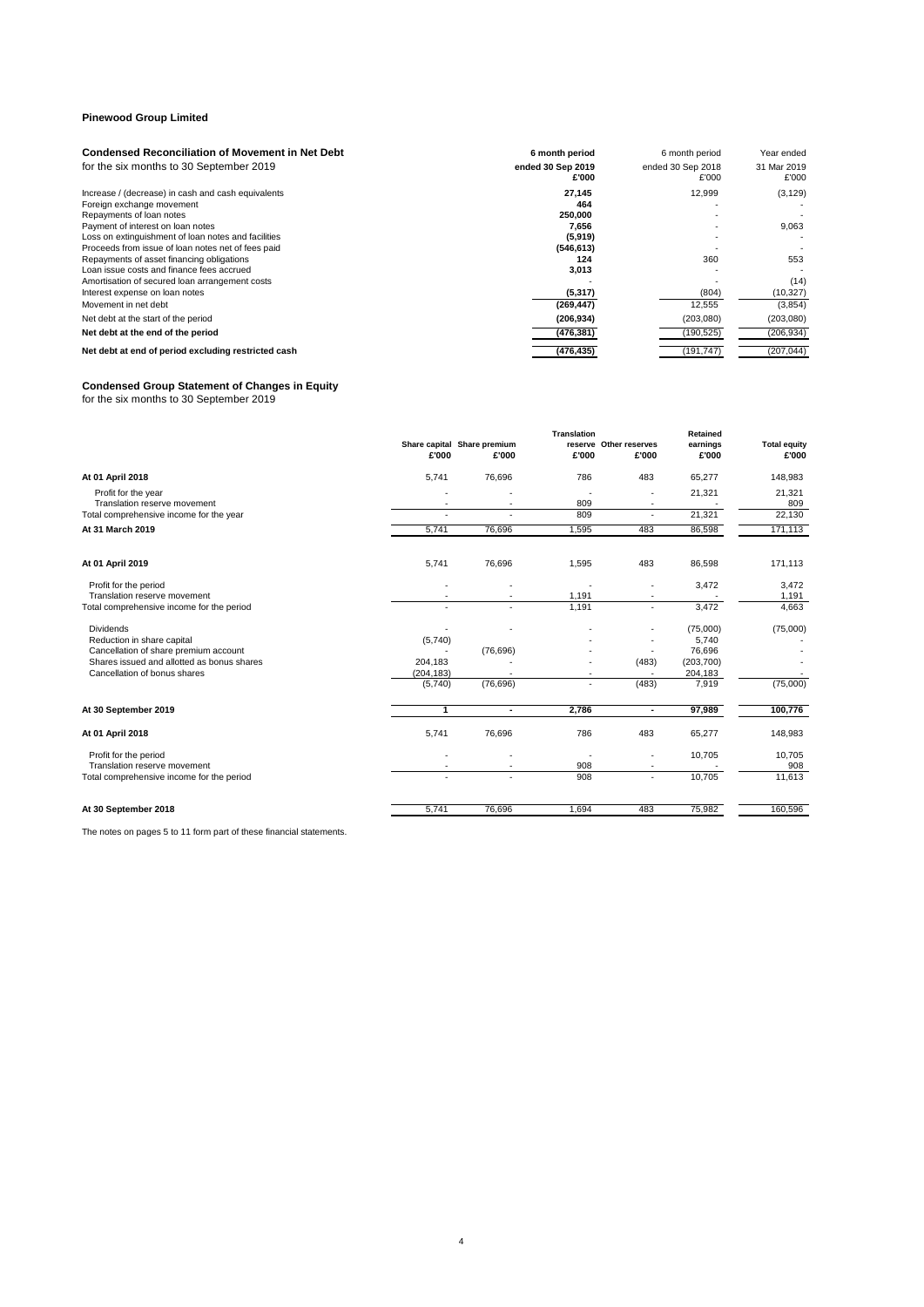| <b>Condensed Reconciliation of Movement in Net Debt</b> | 6 month period             | 6 month period             | Year ended           |
|---------------------------------------------------------|----------------------------|----------------------------|----------------------|
| for the six months to 30 September 2019                 | ended 30 Sep 2019<br>£'000 | ended 30 Sep 2018<br>£'000 | 31 Mar 2019<br>£'000 |
| Increase / (decrease) in cash and cash equivalents      | 27,145                     | 12,999                     | (3, 129)             |
| Foreign exchange movement                               | 464                        |                            |                      |
| Repayments of loan notes                                | 250,000                    |                            |                      |
| Payment of interest on loan notes                       | 7.656                      |                            | 9,063                |
| Loss on extinguishment of loan notes and facilities     | (5,919)                    |                            |                      |
| Proceeds from issue of loan notes net of fees paid      | (546, 613)                 |                            |                      |
| Repayments of asset financing obligations               | 124                        | 360                        | 553                  |
| Loan issue costs and finance fees accrued               | 3,013                      |                            |                      |
| Amortisation of secured loan arrangement costs          |                            |                            | (14)                 |
| Interest expense on loan notes                          | (5, 317)                   | (804)                      | (10, 327)            |
| Movement in net debt                                    | (269, 447)                 | 12,555                     | (3,854)              |
| Net debt at the start of the period                     | (206, 934)                 | (203,080)                  | (203,080)            |
| Net debt at the end of the period                       | (476, 381)                 | (190, 525)                 | (206, 934)           |
| Net debt at end of period excluding restricted cash     | (476, 435)                 | (191, 747)                 | (207, 044)           |

#### **Condensed Group Statement of Changes in Equity**

for the six months to 30 September 2019

|                                            |                          |                             | Translation |                          | <b>Retained</b>  |                     |
|--------------------------------------------|--------------------------|-----------------------------|-------------|--------------------------|------------------|---------------------|
|                                            |                          | Share capital Share premium |             | reserve Other reserves   | earnings         | <b>Total equity</b> |
|                                            | £'000                    | £'000                       | £'000       | £'000                    | £'000            | £'000               |
| At 01 April 2018                           | 5,741                    | 76,696                      | 786         | 483                      | 65,277           | 148,983             |
| Profit for the year                        |                          |                             |             | $\blacksquare$           | 21,321           | 21,321              |
| Translation reserve movement               | ٠                        |                             | 809         |                          |                  | 809                 |
| Total comprehensive income for the year    | ٠                        |                             | 809         | $\sim$                   | 21,321           | 22,130              |
| At 31 March 2019                           | 5,741                    | 76,696                      | 1,595       | 483                      | 86,598           | 171,113             |
| At 01 April 2019                           | 5,741                    | 76,696                      | 1,595       | 483                      | 86,598           | 171,113             |
| Profit for the period                      |                          |                             |             |                          | 3,472            | 3,472               |
| Translation reserve movement               |                          |                             | 1,191       |                          |                  | 1,191               |
| Total comprehensive income for the period  |                          |                             | 1,191       |                          | 3,472            | 4,663               |
| <b>Dividends</b>                           |                          |                             |             |                          | (75,000)         | (75,000)            |
| Reduction in share capital                 | (5,740)                  |                             |             |                          | 5,740            |                     |
| Cancellation of share premium account      |                          | (76, 696)                   |             |                          | 76,696           |                     |
| Shares issued and allotted as bonus shares | 204,183                  |                             |             | (483)                    | (203, 700)       |                     |
| Cancellation of bonus shares               | (204, 183)<br>(5,740)    | (76, 696)                   | ٠           | (483)                    | 204,183<br>7,919 | (75,000)            |
| At 30 September 2019                       | 1                        | $\blacksquare$              | 2,786       | $\overline{\phantom{a}}$ | 97,989           | 100,776             |
|                                            |                          |                             |             |                          |                  |                     |
| At 01 April 2018                           | 5,741                    | 76,696                      | 786         | 483                      | 65,277           | 148,983             |
| Profit for the period                      | $\overline{\phantom{a}}$ |                             |             | $\overline{\phantom{a}}$ | 10,705           | 10,705              |
| Translation reserve movement               | $\overline{\phantom{a}}$ |                             | 908         |                          |                  | 908                 |
| Total comprehensive income for the period  | ٠                        | $\sim$                      | 908         | $\sim$                   | 10,705           | 11,613              |
| At 30 September 2018                       | 5,741                    | 76.696                      | 1.694       | 483                      | 75,982           | 160,596             |
|                                            |                          |                             |             |                          |                  |                     |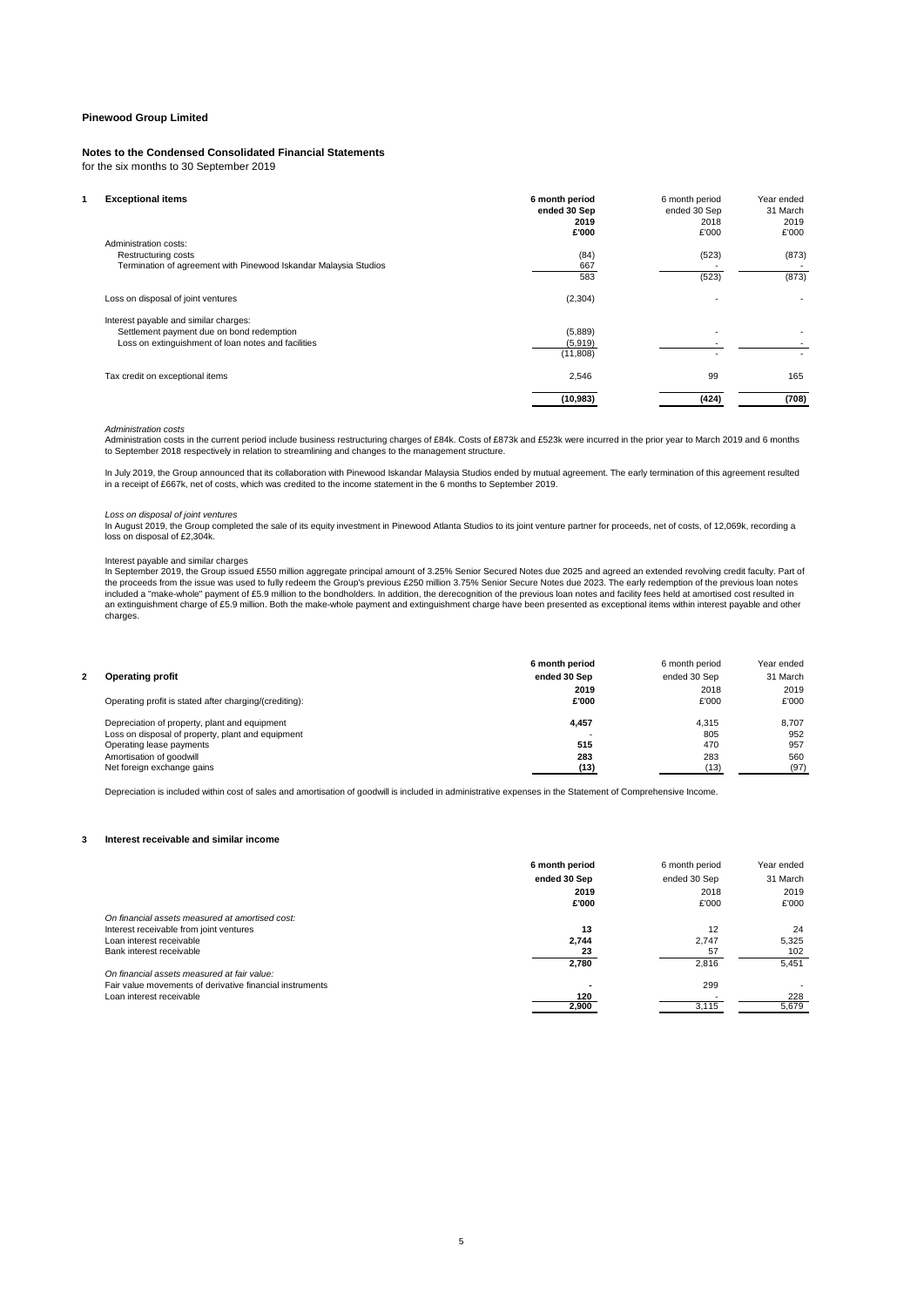## **Notes to the Condensed Consolidated Financial Statements**

for the six months to 30 September 2019

| <b>Exceptional items</b><br>Administration costs:                                                                                         | 6 month period<br>ended 30 Sep<br>2019<br>£'000 | 6 month period<br>ended 30 Sep<br>2018<br>£'000 | Year ended<br>31 March<br>2019<br>£'000 |
|-------------------------------------------------------------------------------------------------------------------------------------------|-------------------------------------------------|-------------------------------------------------|-----------------------------------------|
| Restructuring costs<br>Termination of agreement with Pinewood Iskandar Malaysia Studios                                                   | (84)<br>667<br>583                              | (523)<br>(523)                                  | (873)<br>(873)                          |
| Loss on disposal of joint ventures                                                                                                        | (2,304)                                         |                                                 |                                         |
| Interest payable and similar charges:<br>Settlement payment due on bond redemption<br>Loss on extinguishment of loan notes and facilities | (5,889)<br>(5,919)<br>(11, 808)                 |                                                 |                                         |
| Tax credit on exceptional items                                                                                                           | 2,546                                           | 99                                              | 165                                     |
|                                                                                                                                           | (10, 983)                                       | (424)                                           | (708)                                   |

*Administration costs*<br>Administration costs in the current period include business restructuring charges of £84k. Costs of £873k and £523k were incurred in the prior year to March 2019 and 6 months<br>to September 2018 respec

In July 2019, the Group announced that its collaboration with Pinewood Iskandar Malaysia Studios ended by mutual agreement. The early termination of this agreement resulted in a receipt of £667k, net of costs, which was credited to the income statement in the 6 months to September 2019.

#### *Loss on disposal of joint ventures*

In August 2019, the Group completed the sale of its equity investment in Pinewood Atlanta Studios to its joint venture partner for proceeds, net of costs, of 12,069k, recording a<br>Ioss on disposal of £2,304k.

Interest payable and similar charges<br>In September 2019, the Group issued £550 million aggregate principal amount of 3.25% Senior Secured Notes due 2025 and agreed an extended revolving credit faculty. Part of<br>the proceeds an extinguishment charge of £5.9 million. Both the make-whole payment and extinguishment charge have been presented as exceptional items within interest payable and other charges.

|                                                        | 6 month period | 6 month period | Year ended |
|--------------------------------------------------------|----------------|----------------|------------|
| <b>Operating profit</b>                                | ended 30 Sep   | ended 30 Sep   | 31 March   |
|                                                        | 2019           | 2018           | 2019       |
| Operating profit is stated after charging/(crediting): | £'000          | £'000          | £'000      |
| Depreciation of property, plant and equipment          | 4,457          | 4.315          | 8.707      |
| Loss on disposal of property, plant and equipment      |                | 805            | 952        |
| Operating lease payments                               | 515            | 470            | 957        |
| Amortisation of goodwill                               | 283            | 283            | 560        |
| Net foreign exchange gains                             | (13)           | (13)           | (97)       |

Depreciation is included within cost of sales and amortisation of goodwill is included in administrative expenses in the Statement of Comprehensive Income.

#### **3 Interest receivable and similar income**

|                                                          | 6 month period | 6 month period | Year ended |
|----------------------------------------------------------|----------------|----------------|------------|
|                                                          | ended 30 Sep   | ended 30 Sep   | 31 March   |
|                                                          | 2019           | 2018           | 2019       |
|                                                          | £'000          | £'000          | £'000      |
| On financial assets measured at amortised cost:          |                |                |            |
| Interest receivable from joint ventures                  | 13             | 12             | 24         |
| Loan interest receivable                                 | 2.744          | 2.747          | 5.325      |
| Bank interest receivable                                 | 23             | 57             | 102        |
|                                                          | 2.780          | 2.816          | 5,451      |
| On financial assets measured at fair value:              |                |                |            |
| Fair value movements of derivative financial instruments |                | 299            |            |
| Loan interest receivable                                 | 120            |                | 228        |
|                                                          | 2,900          | 3.115          | 5,679      |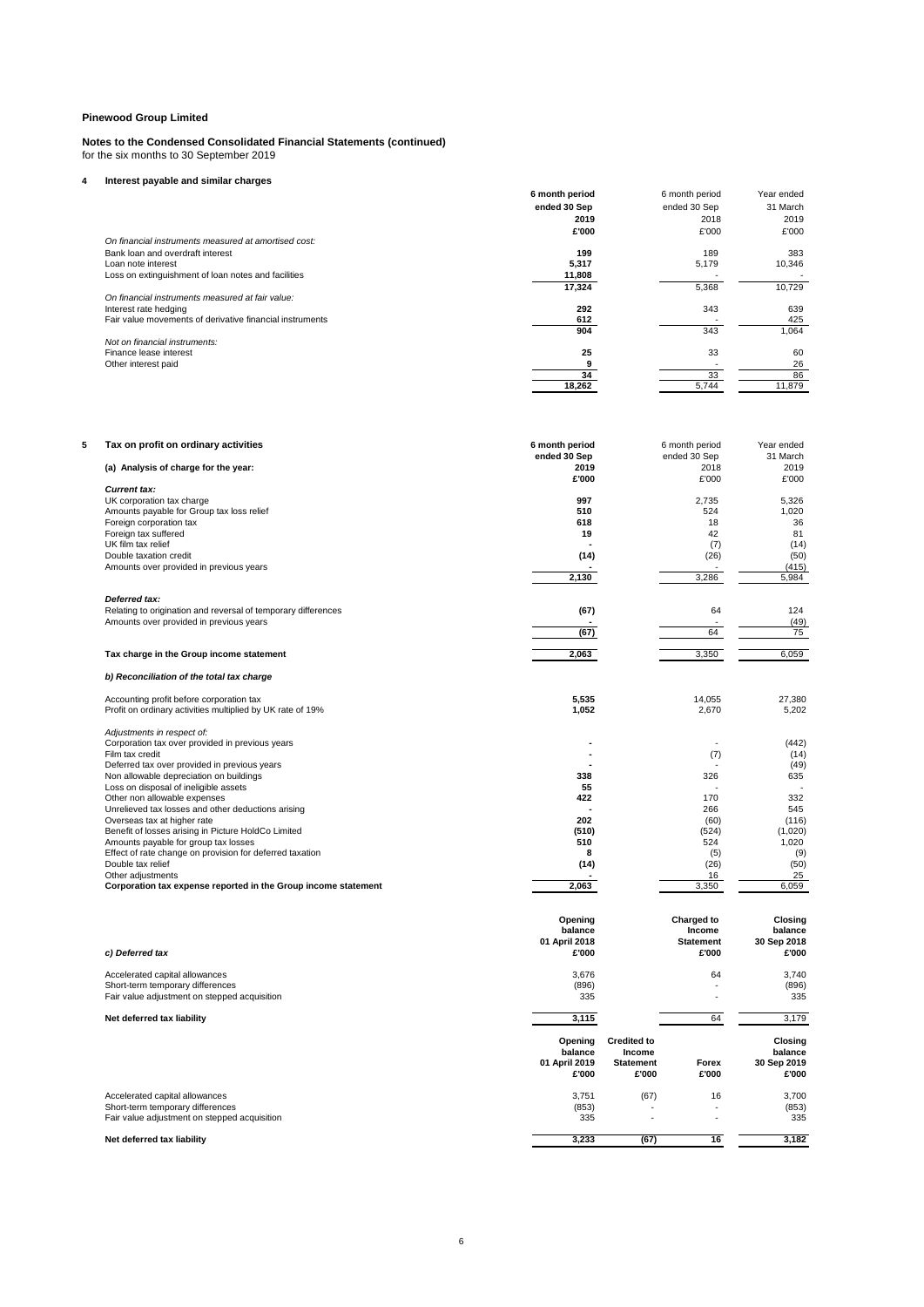#### **Notes to the Condensed Consolidated Financial Statements (continued)** for the six months to 30 September 2019

## **4 Interest payable and similar charges**

|                                                          | 6 month period | 6 month period | Year ended |
|----------------------------------------------------------|----------------|----------------|------------|
|                                                          | ended 30 Sep   | ended 30 Sep   | 31 March   |
|                                                          | 2019           | 2018           | 2019       |
|                                                          | £'000          | £'000          | £'000      |
| On financial instruments measured at amortised cost:     |                |                |            |
| Bank loan and overdraft interest                         | 199            | 189            | 383        |
| Loan note interest                                       | 5,317          | 5,179          | 10,346     |
| Loss on extinguishment of loan notes and facilities      | 11,808         |                |            |
|                                                          | 17,324         | 5,368          | 10,729     |
| On financial instruments measured at fair value:         |                |                |            |
| Interest rate hedging                                    | 292            | 343            | 639        |
| Fair value movements of derivative financial instruments | 612            |                | 425        |
|                                                          | 904            | 343            | 1,064      |
| Not on financial instruments:                            |                |                |            |
| Finance lease interest                                   | 25             | 33             | 60         |
| Other interest paid                                      |                |                | 26         |
|                                                          | 34             | 33             | 86         |
|                                                          | 18,262         | 5.744          | 11,879     |

| 5 | Tax on profit on ordinary activities                                                | 6 month period |                    | 6 month period       | Year ended     |
|---|-------------------------------------------------------------------------------------|----------------|--------------------|----------------------|----------------|
|   |                                                                                     | ended 30 Sep   |                    | ended 30 Sep         | 31 March       |
|   | (a) Analysis of charge for the year:                                                | 2019           |                    | 2018                 | 2019           |
|   |                                                                                     | £'000          |                    | £'000                | £'000          |
|   | <b>Current tax:</b>                                                                 |                |                    |                      |                |
|   | UK corporation tax charge                                                           | 997            |                    | 2.735                | 5.326          |
|   | Amounts payable for Group tax loss relief                                           | 510            |                    | 524                  | 1,020          |
|   | Foreign corporation tax                                                             | 618            |                    | 18                   | 36             |
|   | Foreign tax suffered                                                                | 19             |                    | 42                   | 81             |
|   | UK film tax relief                                                                  |                |                    | (7)                  | (14)           |
|   | Double taxation credit                                                              | (14)           |                    | (26)                 | (50)           |
|   | Amounts over provided in previous years                                             |                |                    |                      | (415)          |
|   |                                                                                     | 2,130          |                    | 3,286                | 5,984          |
|   | Deferred tax:                                                                       |                |                    |                      |                |
|   | Relating to origination and reversal of temporary differences                       | (67)           |                    | 64                   | 124            |
|   | Amounts over provided in previous years                                             |                |                    |                      | (49)           |
|   |                                                                                     | (67)           |                    | 64                   | 75             |
|   |                                                                                     |                |                    |                      |                |
|   | Tax charge in the Group income statement                                            | 2,063          |                    | 3,350                | 6,059          |
|   | b) Reconciliation of the total tax charge                                           |                |                    |                      |                |
|   |                                                                                     |                |                    |                      |                |
|   | Accounting profit before corporation tax                                            | 5,535          |                    | 14,055               | 27,380         |
|   | Profit on ordinary activities multiplied by UK rate of 19%                          | 1,052          |                    | 2,670                | 5,202          |
|   | Adjustments in respect of:                                                          |                |                    |                      |                |
|   | Corporation tax over provided in previous years                                     |                |                    | ٠                    | (442)          |
|   | Film tax credit                                                                     |                |                    | (7)                  | (14)           |
|   | Deferred tax over provided in previous years                                        |                |                    |                      | (49)           |
|   | Non allowable depreciation on buildings                                             | 338            |                    | 326                  | 635            |
|   | Loss on disposal of ineligible assets                                               | 55             |                    |                      |                |
|   | Other non allowable expenses                                                        | 422            |                    | 170                  | 332            |
|   | Unrelieved tax losses and other deductions arising                                  |                |                    | 266                  | 545            |
|   | Overseas tax at higher rate                                                         | 202            |                    | (60)                 | (116)          |
|   | Benefit of losses arising in Picture HoldCo Limited                                 | (510)          |                    | (524)                | (1,020)        |
|   | Amounts payable for group tax losses                                                | 510            |                    | 524                  | 1,020          |
|   |                                                                                     | 8              |                    |                      | (9)            |
|   | Effect of rate change on provision for deferred taxation                            |                |                    | (5)                  |                |
|   | Double tax relief                                                                   | (14)           |                    | (26)                 | (50)           |
|   | Other adjustments<br>Corporation tax expense reported in the Group income statement | 2,063          |                    | 16<br>3,350          | 25<br>6.059    |
|   |                                                                                     |                |                    |                      |                |
|   |                                                                                     | Opening        |                    | Charged to           | <b>Closing</b> |
|   |                                                                                     | balance        |                    | Income               | balance        |
|   |                                                                                     | 01 April 2018  |                    | <b>Statement</b>     | 30 Sep 2018    |
|   | c) Deferred tax                                                                     | £'000          |                    | £'000                | £'000          |
|   |                                                                                     |                |                    |                      |                |
|   | Accelerated capital allowances                                                      | 3,676          |                    | 64                   | 3,740          |
|   | Short-term temporary differences                                                    | (896)          |                    |                      | (896)          |
|   | Fair value adjustment on stepped acquisition                                        | 335            |                    | $\ddot{\phantom{1}}$ | 335            |
|   | Net deferred tax liability                                                          | 3,115          |                    | 64                   | 3,179          |
|   |                                                                                     | Opening        | <b>Credited to</b> |                      | <b>Closing</b> |
|   |                                                                                     | balance        | Income             |                      | balance        |
|   |                                                                                     | 01 April 2019  | <b>Statement</b>   | Forex                | 30 Sep 2019    |
|   |                                                                                     | £'000          | £'000              | £'000                | £'000          |
|   |                                                                                     |                |                    |                      |                |
|   | Accelerated capital allowances                                                      | 3,751          | (67)               | 16                   | 3,700          |
|   | Short-term temporary differences                                                    | (853)          |                    | ٠                    | (853)          |
|   | Fair value adjustment on stepped acquisition                                        | 335            |                    |                      | 335            |
|   |                                                                                     |                |                    |                      |                |

## **Net deferred tax liability 3,233 (67) 16 3,182**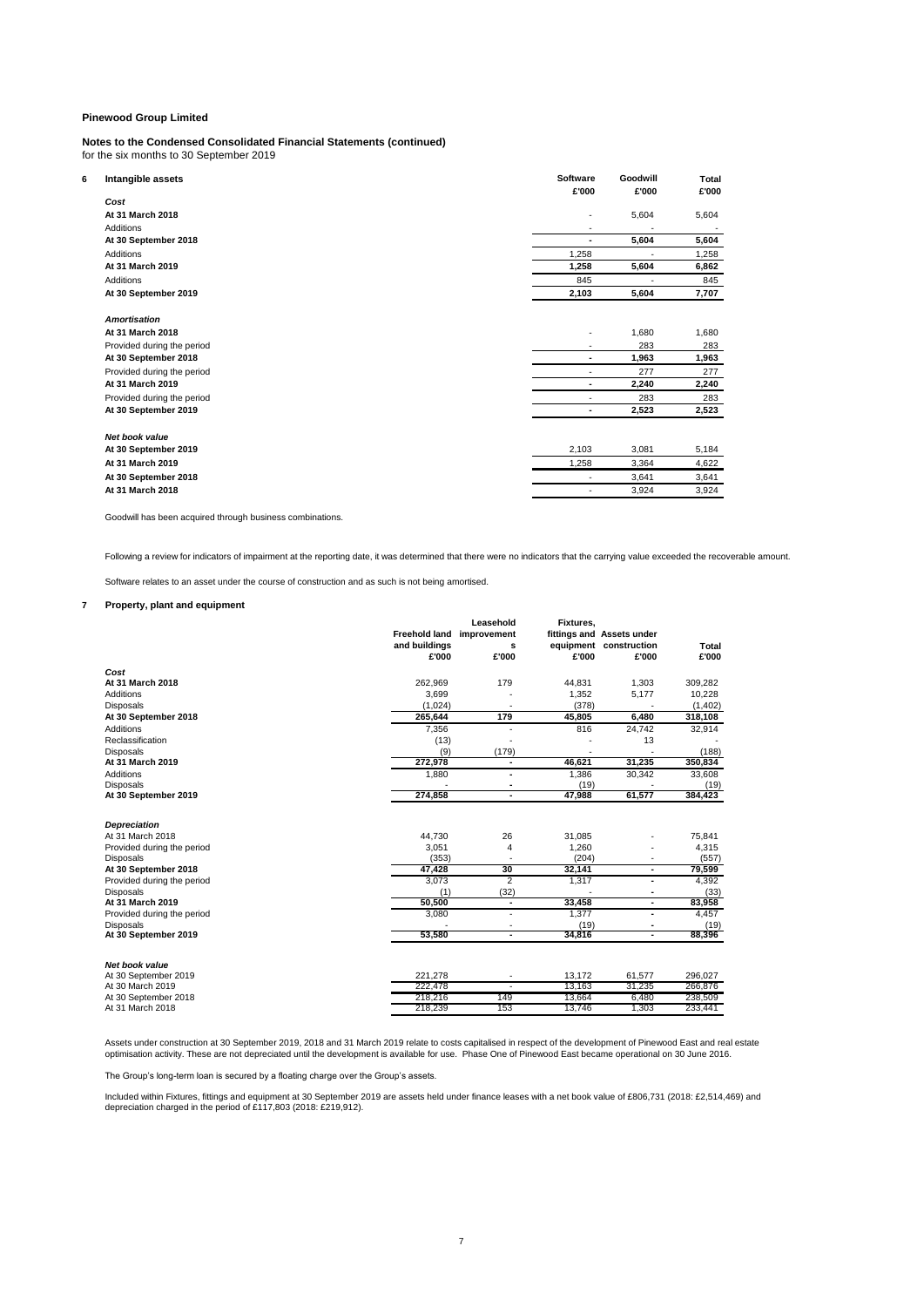## **Notes to the Condensed Consolidated Financial Statements (continued)**

for the six months to 30 September 2019

| 6 | Intangible assets          | <b>Software</b> | Goodwill | Total |
|---|----------------------------|-----------------|----------|-------|
|   |                            | £'000           | £'000    | £'000 |
|   | Cost                       |                 |          |       |
|   | At 31 March 2018           | ٠               | 5,604    | 5,604 |
|   | Additions                  |                 |          |       |
|   | At 30 September 2018       | $\blacksquare$  | 5,604    | 5,604 |
|   | Additions                  | 1,258           |          | 1,258 |
|   | At 31 March 2019           | 1,258           | 5,604    | 6,862 |
|   | Additions                  | 845             |          | 845   |
|   | At 30 September 2019       | 2,103           | 5,604    | 7,707 |
|   | <b>Amortisation</b>        |                 |          |       |
|   | At 31 March 2018           | ٠               | 1,680    | 1,680 |
|   | Provided during the period |                 | 283      | 283   |
|   | At 30 September 2018       |                 | 1,963    | 1,963 |
|   | Provided during the period |                 | 277      | 277   |
|   | At 31 March 2019           |                 | 2,240    | 2,240 |
|   | Provided during the period | ٠               | 283      | 283   |
|   | At 30 September 2019       |                 | 2,523    | 2,523 |
|   | Net book value             |                 |          |       |
|   | At 30 September 2019       | 2,103           | 3,081    | 5,184 |
|   | At 31 March 2019           | 1,258           | 3,364    | 4,622 |
|   | At 30 September 2018       | ٠               | 3,641    | 3,641 |
|   | At 31 March 2018           | ٠               | 3,924    | 3,924 |

Goodwill has been acquired through business combinations.

Following a review for indicators of impairment at the reporting date, it was determined that there were no indicators that the carrying value exceeded the recoverable amount.

Software relates to an asset under the course of construction and as such is not being amortised.

### **7 Property, plant and equipment**

|                                               |               | Leasehold                 | Fixtures. |                           |         |
|-----------------------------------------------|---------------|---------------------------|-----------|---------------------------|---------|
|                                               |               | Freehold land improvement |           | fittings and Assets under |         |
|                                               | and buildings | s                         |           | equipment construction    | Total   |
|                                               | £'000         | £'000                     | £'000     | £'000                     | £'000   |
| Cost                                          |               |                           |           |                           |         |
| At 31 March 2018                              | 262,969       | 179                       | 44,831    | 1,303                     | 309,282 |
| Additions                                     | 3,699         |                           | 1,352     | 5,177                     | 10,228  |
| <b>Disposals</b>                              | (1.024)       | ٠                         | (378)     |                           | (1,402) |
| At 30 September 2018                          | 265.644       | 179                       | 45.805    | 6.480                     | 318,108 |
| <b>Additions</b>                              | 7,356         |                           | 816       | 24,742                    | 32,914  |
| Reclassification                              | (13)          |                           |           | 13                        |         |
| <b>Disposals</b>                              | (9)           | (179)                     |           |                           | (188)   |
| At 31 March 2019                              | 272,978       |                           | 46,621    | 31,235                    | 350,834 |
| Additions                                     | 1,880         | $\blacksquare$            | 1.386     | 30,342                    | 33,608  |
| <b>Disposals</b>                              |               |                           | (19)      |                           | (19)    |
| At 30 September 2019                          | 274,858       | $\blacksquare$            | 47,988    | 61,577                    | 384,423 |
|                                               |               |                           |           |                           |         |
| <b>Depreciation</b>                           |               |                           |           |                           |         |
| At 31 March 2018                              | 44.730        | 26                        | 31,085    |                           | 75,841  |
| Provided during the period                    | 3,051         | 4                         | 1,260     |                           | 4,315   |
| <b>Disposals</b>                              | (353)         |                           | (204)     |                           | (557)   |
| At 30 September 2018                          | 47,428        | 30                        | 32.141    | ٠                         | 79.599  |
| Provided during the period                    | 3,073         | $\overline{2}$            | 1,317     | ٠                         | 4,392   |
| <b>Disposals</b>                              | (1)           | (32)                      |           | ٠                         | (33)    |
| At 31 March 2019                              | 50,500        | ٠                         | 33,458    | ٠                         | 83,958  |
| Provided during the period                    | 3,080         |                           | 1,377     | $\blacksquare$            | 4,457   |
| <b>Disposals</b>                              |               |                           | (19)      |                           | (19)    |
| At 30 September 2019                          | 53,580        | $\blacksquare$            | 34,816    | ٠                         | 88,396  |
|                                               |               |                           |           |                           |         |
| <b>Net book value</b><br>At 30 September 2019 | 221,278       |                           | 13,172    | 61,577                    | 296,027 |
| At 30 March 2019                              | 222,478       |                           | 13,163    | 31,235                    | 266,876 |
| At 30 September 2018                          | 218,216       | 149                       | 13,664    | 6.480                     | 238,509 |
| At 31 March 2018                              | 218,239       | 153                       | 13,746    | 1,303                     | 233,441 |
|                                               |               |                           |           |                           |         |

Assets under construction at 30 September 2019, 2018 and 31 March 2019 relate to costs capitalised in respect of the development of Pinewood East and real estate<br>optimisation activity. These are not depreciated until the d

The Group's long-term loan is secured by a floating charge over the Group's assets.

Included within Fixtures, fittings and equipment at 30 September 2019 are assets held under finance leases with a net book value of £806,731 (2018: £2,514,469) and<br>depreciation charged in the period of £117,803 (2018: £219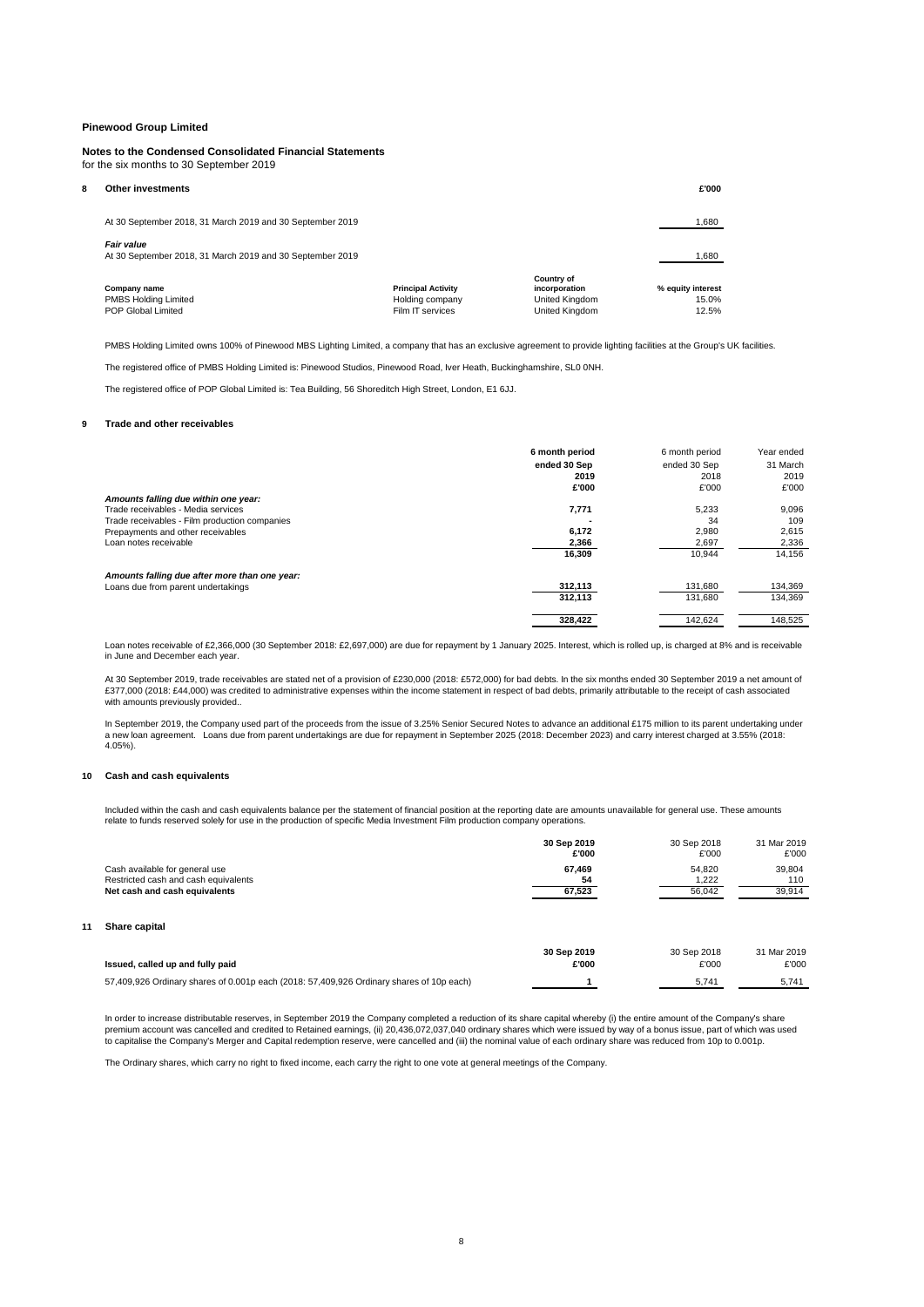#### **Notes to the Condensed Consolidated Financial Statements** for the six months to 30 September 2019

| ጸ | Other investments                                                       |                                                                  |                                                                 | £'000                               |
|---|-------------------------------------------------------------------------|------------------------------------------------------------------|-----------------------------------------------------------------|-------------------------------------|
|   | At 30 September 2018, 31 March 2019 and 30 September 2019               |                                                                  |                                                                 | 1,680                               |
|   | Fair value<br>At 30 September 2018, 31 March 2019 and 30 September 2019 |                                                                  |                                                                 | 1,680                               |
|   | Company name<br><b>PMBS Holding Limited</b><br>POP Global Limited       | <b>Principal Activity</b><br>Holding company<br>Film IT services | Country of<br>incorporation<br>United Kingdom<br>United Kingdom | % equity interest<br>15.0%<br>12.5% |

PMBS Holding Limited owns 100% of Pinewood MBS Lighting Limited, a company that has an exclusive agreement to provide lighting facilities at the Group's UK facilities.

The registered office of PMBS Holding Limited is: Pinewood Studios, Pinewood Road, Iver Heath, Buckinghamshire, SL0 0NH.

The registered office of POP Global Limited is: Tea Building, 56 Shoreditch High Street, London, E1 6JJ.

#### **9 Trade and other receivables**

|                                               | 6 month period | 6 month period | Year ended |
|-----------------------------------------------|----------------|----------------|------------|
|                                               | ended 30 Sep   | ended 30 Sep   | 31 March   |
|                                               | 2019           | 2018           | 2019       |
|                                               | £'000          | £'000          | £'000      |
| Amounts falling due within one year:          |                |                |            |
| Trade receivables - Media services            | 7,771          | 5.233          | 9,096      |
| Trade receivables - Film production companies |                | 34             | 109        |
| Prepayments and other receivables             | 6,172          | 2,980          | 2,615      |
| Loan notes receivable                         | 2,366          | 2,697          | 2,336      |
|                                               | 16,309         | 10.944         | 14.156     |
| Amounts falling due after more than one year: |                |                |            |
| Loans due from parent undertakings            | 312,113        | 131,680        | 134,369    |
|                                               | 312,113        | 131,680        | 134,369    |
|                                               | 328,422        | 142,624        | 148,525    |

Loan notes receivable of £2,366,000 (30 September 2018: £2,697,000) are due for repayment by 1 January 2025. Interest, which is rolled up, is charged at 8% and is receivable in June and December each year.

At 30 September 2019, trade receivables are stated net of a provision of £230,000 (2018: £572,000) for bad debts. In the six months ended 30 September 2019 a net amount of £377,000 (2018: £44,000) was credited to administrative expenses within the income statement in respect of bad debts, primarily attributable to the receipt of cash associated with amounts previously provided...

In September 2019, the Company used part of the proceeds from the issue of 3.25% Senior Secured Notes to advance an additional £175 million to its parent undertaking under a new loan agreement. Loans due from parent undertakings are due for repayment in September 2025 (2018: December 2023) and carry interest charged at 3.55% (2018: 4.05%).

#### **10 Cash and cash equivalents**

Included within the cash and cash equivalents balance per the statement of financial position at the reporting date are amounts unavailable for general use. These amounts<br>relate to funds reserved solely for use in the prod

|    |                                                                                          | 30 Sep 2019<br>£'000 | 30 Sep 2018<br>£'000 | 31 Mar 2019<br>£'000 |
|----|------------------------------------------------------------------------------------------|----------------------|----------------------|----------------------|
|    | Cash available for general use<br>Restricted cash and cash equivalents                   | 67.469<br>54         | 54.820<br>1,222      | 39.804<br>110        |
|    | Net cash and cash equivalents                                                            | 67,523               | 56,042               | 39,914               |
| 11 | Share capital                                                                            |                      |                      |                      |
|    | Issued, called up and fully paid                                                         | 30 Sep 2019<br>£'000 | 30 Sep 2018<br>£'000 | 31 Mar 2019<br>£'000 |
|    | 57,409,926 Ordinary shares of 0.001p each (2018: 57,409,926 Ordinary shares of 10p each) |                      | 5,741                | 5,741                |

In order to increase distributable reserves, in September 2019 the Company completed a reduction of its share capital whereby (i) the entire amount of the Company's share<br>premium account was cancelled and credited to Retai

The Ordinary shares, which carry no right to fixed income, each carry the right to one vote at general meetings of the Company.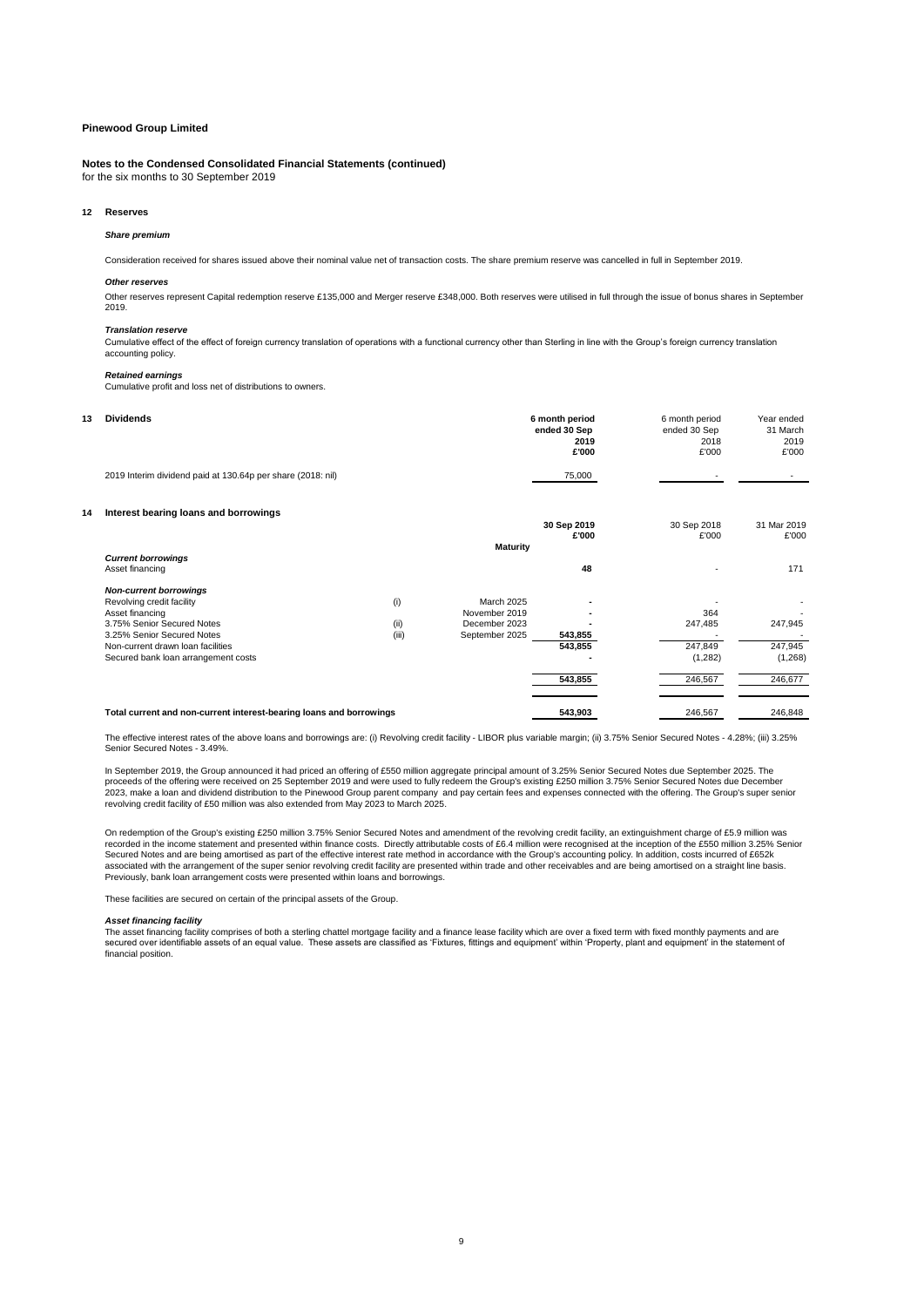### **Notes to the Condensed Consolidated Financial Statements (continued)**

for the six months to 30 September 2019

#### **12 Reserves**

#### *Share premium*

Consideration received for shares issued above their nominal value net of transaction costs. The share premium reserve was cancelled in full in September 2019.

#### *Other reserves*

Other reserves represent Capital redemption reserve £135,000 and Merger reserve £348,000. Both reserves were utilised in full through the issue of bonus shares in September 2019.

#### *Translation reserve*

Cumulative effect of the effect of foreign currency translation of operations with a functional currency other than Sterling in line with the Group's foreign currency translation accounting policy.

#### *Retained earnings*

Cumulative profit and loss net of distributions to owners.

| 13 | <b>Dividends</b>                                            | 6 month period | 6 month period           | Year ended  |
|----|-------------------------------------------------------------|----------------|--------------------------|-------------|
|    |                                                             | ended 30 Sep   | ended 30 Sep             | 31 March    |
|    |                                                             | 2019           | 2018                     | 2019        |
|    |                                                             | £'000          | £'000                    | £'000       |
|    | 2019 Interim dividend paid at 130.64p per share (2018: nil) | 75,000         | $\overline{\phantom{a}}$ | $\sim$      |
| 14 | Interest bearing loans and borrowings                       |                |                          |             |
|    |                                                             | 30 Sep 2019    | 30 Sep 2018              | 31 Mar 2019 |
|    |                                                             | £'000          | £'000                    | £'000       |
|    |                                                             | .              |                          |             |

|                                                                     |       |                 | £'000   | £'000    | £'000   |
|---------------------------------------------------------------------|-------|-----------------|---------|----------|---------|
| <b>Current borrowings</b><br>Asset financing                        |       | <b>Maturity</b> | 48      | <b>.</b> | 171     |
| <b>Non-current borrowings</b>                                       |       |                 |         |          |         |
| Revolving credit facility                                           | (i)   | March 2025      |         |          |         |
| Asset financing                                                     |       | November 2019   |         | 364      |         |
| 3.75% Senior Secured Notes                                          | (ii)  | December 2023   |         | 247.485  | 247,945 |
| 3.25% Senior Secured Notes                                          | (iii) | September 2025  | 543,855 |          |         |
| Non-current drawn loan facilities                                   |       |                 | 543,855 | 247.849  | 247,945 |
| Secured bank loan arrangement costs                                 |       |                 |         | (1,282)  | (1,268) |
|                                                                     |       |                 | 543,855 | 246,567  | 246,677 |
| Total current and non-current interest-bearing loans and borrowings |       |                 | 543.903 | 246,567  | 246.848 |

### The effective interest rates of the above loans and borrowings are: (i) Revolving credit facility - LIBOR plus variable margin; (ii) 3.75% Senior Secured Notes - 4.28%; (iii) 3.25% Senior Secured Notes - 3.49%.

In September 2019, the Group announced it had priced an offering of £550 million aggregate principal amount of 3.25% Senior Secured Notes due September 2025. The<br>proceeds of the offering were received on 25 September 2019

On redemption of the Group's existing £250 million 3.75% Senior Secured Notes and amendment of the revolving credit facility, an extinguishment charge of £5.9 million was recorded in the income statement and presented within finance costs. Directly attributable costs of £6.4 million were recognised at the inception of the £550 million 3.25% Senior<br>Secured Notes and are being amortised as pa associated with the arrangement of the super senior revolving credit facility are presented within trade and other receivables and are being amortised on a straight line basis.<br>Previously, bank loan arrangement costs were

These facilities are secured on certain of the principal assets of the Group.

#### *Asset financing facility*

The asset financing facility comprises of both a sterling chattel mortgage facility and a finance lease facility which are over a fixed term with fixed monthly payments and are secured over identifiable assets of an equal value. These assets are classified as 'Fixtures, fittings and equipment' within 'Property, plant and equipment' in the statement of financial position.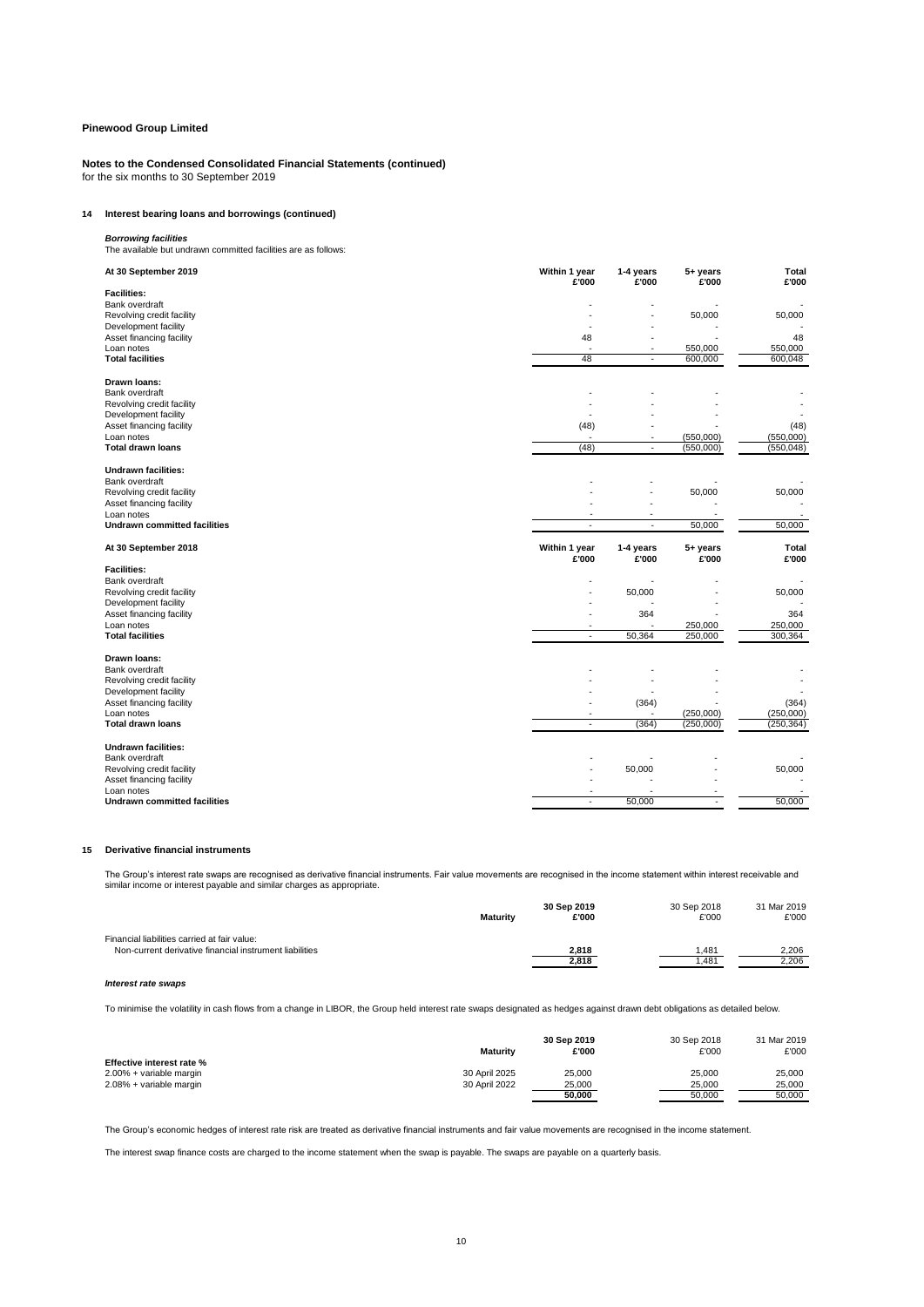**Notes to the Condensed Consolidated Financial Statements (continued)** for the six months to 30 September 2019

## **14 Interest bearing loans and borrowings (continued)**

*Borrowing facilities* The available but undrawn committed facilities are as follows:

| At 30 September 2019                              | Within 1 year<br>£'000   | 1-4 years<br>£'000       | 5+ years<br>£'000      | <b>Total</b><br>£'000   |
|---------------------------------------------------|--------------------------|--------------------------|------------------------|-------------------------|
| <b>Facilities:</b>                                |                          |                          |                        |                         |
| Bank overdraft                                    |                          |                          |                        |                         |
| Revolving credit facility<br>Development facility |                          |                          | 50,000                 | 50,000                  |
| Asset financing facility                          | 48                       |                          |                        | 48                      |
| Loan notes                                        |                          | $\overline{\phantom{a}}$ | 550,000                | 550,000                 |
| <b>Total facilities</b>                           | 48                       | ÷.                       | 600,000                | 600,048                 |
| Drawn Ioans:                                      |                          |                          |                        |                         |
| Bank overdraft                                    |                          |                          |                        |                         |
| Revolving credit facility                         |                          |                          |                        |                         |
| Development facility                              |                          |                          |                        |                         |
| Asset financing facility                          | (48)                     |                          |                        | (48)                    |
| Loan notes<br><b>Total drawn loans</b>            | (48)                     | ÷.                       | (550,000)<br>(550,000) | (550,000)<br>(550, 048) |
|                                                   |                          |                          |                        |                         |
| <b>Undrawn facilities:</b>                        |                          |                          |                        |                         |
| Bank overdraft<br>Revolving credit facility       |                          |                          | 50,000                 | 50,000                  |
| Asset financing facility                          |                          |                          |                        |                         |
| Loan notes                                        |                          | ٠                        | $\overline{a}$         |                         |
| <b>Undrawn committed facilities</b>               | $\overline{\phantom{a}}$ | $\sim$                   | 50,000                 | 50,000                  |
|                                                   |                          |                          |                        |                         |
| At 30 September 2018                              | Within 1 year<br>£'000   | 1-4 years<br>£'000       | 5+ years<br>£'000      | Total<br>£'000          |
| <b>Facilities:</b>                                |                          |                          |                        |                         |
| Bank overdraft                                    |                          |                          |                        |                         |
| Revolving credit facility                         |                          | 50,000                   |                        | 50,000                  |
| Development facility                              |                          |                          |                        |                         |
| Asset financing facility                          |                          | 364                      |                        | 364                     |
| Loan notes<br><b>Total facilities</b>             | ÷.                       | 50,364                   | 250,000<br>250,000     | 250,000<br>300,364      |
|                                                   |                          |                          |                        |                         |
| Drawn Ioans:                                      |                          |                          |                        |                         |
| Bank overdraft<br>Revolving credit facility       |                          |                          |                        |                         |
| Development facility                              |                          |                          |                        |                         |
| Asset financing facility                          |                          | (364)                    |                        | (364)                   |
| Loan notes                                        |                          |                          | (250,000)              | (250,000)               |
| <b>Total drawn loans</b>                          | $\sim$                   | (364)                    | (250,000)              | (250, 364)              |
| <b>Undrawn facilities:</b>                        |                          |                          |                        |                         |
| Bank overdraft                                    |                          |                          |                        |                         |
| Revolving credit facility                         |                          | 50,000                   |                        | 50,000                  |
| Asset financing facility<br>Loan notes            |                          |                          |                        |                         |

### **15 Derivative financial instruments**

The Group's interest rate swaps are recognised as derivative financial instruments. Fair value movements are recognised in the income statement within interest receivable and<br>similar income or interest payable and similar

|                                                         | <b>Maturity</b> | 30 Sep 2019<br>£'000 | 30 Sep 2018<br>£'000 | 31 Mar 2019<br>£'000 |
|---------------------------------------------------------|-----------------|----------------------|----------------------|----------------------|
| Financial liabilities carried at fair value:            |                 | 2,818                | .481                 | 2,206                |
| Non-current derivative financial instrument liabilities |                 | 2,818                | .481                 | 2,206                |

#### *Interest rate swaps*

To minimise the volatility in cash flows from a change in LIBOR, the Group held interest rate swaps designated as hedges against drawn debt obligations as detailed below.

|                                  | Maturity      | 30 Sep 2019<br>£'000 | 30 Sep 2018<br>£'000 | 31 Mar 2019<br>£'000 |
|----------------------------------|---------------|----------------------|----------------------|----------------------|
| <b>Effective interest rate %</b> |               |                      |                      |                      |
| 2.00% + variable margin          | 30 April 2025 | 25.000               | 25.000               | 25.000               |
| 2.08% + variable margin          | 30 April 2022 | 25,000               | 25.000               | 25.000               |
|                                  |               | 50.000               | 50.000               | 50.000               |

The Group's economic hedges of interest rate risk are treated as derivative financial instruments and fair value movements are recognised in the income statement.

The interest swap finance costs are charged to the income statement when the swap is payable. The swaps are payable on a quarterly basis.